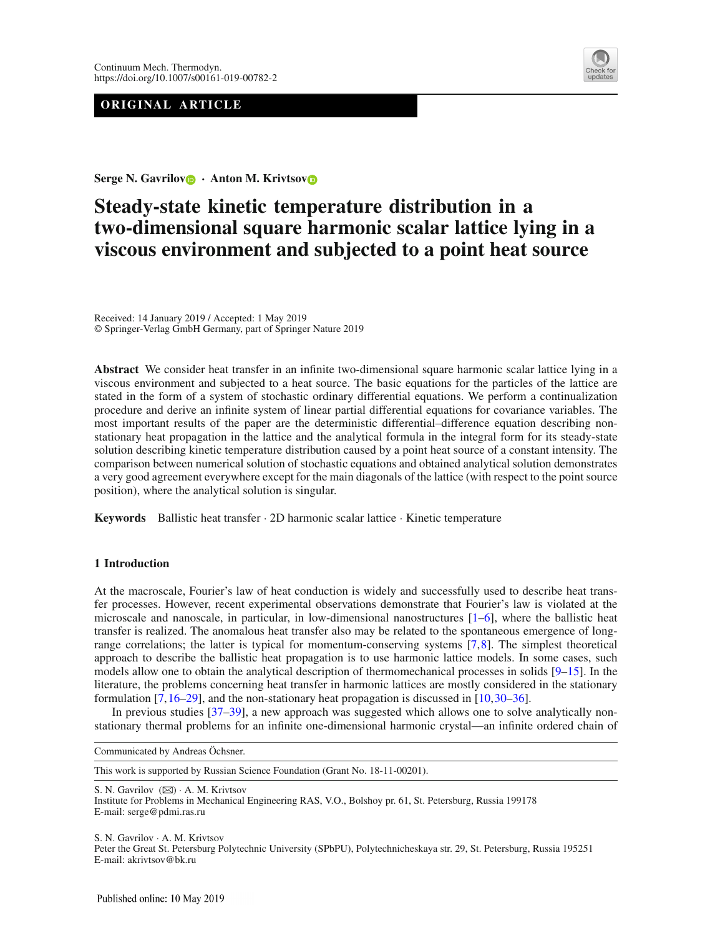# **ORIGINAL ARTICLE**



**Serge N. Gavrilo[v](http://orcid.org/0000-0002-7889-3350) · Anton M. Krivtso[v](http://orcid.org/0000-0002-9258-065X)**

# **Steady-state kinetic temperature distribution in a two-dimensional square harmonic scalar lattice lying in a viscous environment and subjected to a point heat source**

Received: 14 January 2019 / Accepted: 1 May 2019 © Springer-Verlag GmbH Germany, part of Springer Nature 2019

**Abstract** We consider heat transfer in an infinite two-dimensional square harmonic scalar lattice lying in a viscous environment and subjected to a heat source. The basic equations for the particles of the lattice are stated in the form of a system of stochastic ordinary differential equations. We perform a continualization procedure and derive an infinite system of linear partial differential equations for covariance variables. The most important results of the paper are the deterministic differential–difference equation describing nonstationary heat propagation in the lattice and the analytical formula in the integral form for its steady-state solution describing kinetic temperature distribution caused by a point heat source of a constant intensity. The comparison between numerical solution of stochastic equations and obtained analytical solution demonstrates a very good agreement everywhere except for the main diagonals of the lattice (with respect to the point source position), where the analytical solution is singular.

**Keywords** Ballistic heat transfer · 2D harmonic scalar lattice · Kinetic temperature

# <span id="page-0-0"></span>**1 Introduction**

At the macroscale, Fourier's law of heat conduction is widely and successfully used to describe heat transfer processes. However, recent experimental observations demonstrate that Fourier's law is violated at the microscale and nanoscale, in particular, in low-dimensional nanostructures  $[1-6]$  $[1-6]$ , where the ballistic heat transfer is realized. The anomalous heat transfer also may be related to the spontaneous emergence of longrange correlations; the latter is typical for momentum-conserving systems [\[7](#page-18-2)[,8\]](#page-18-3). The simplest theoretical approach to describe the ballistic heat propagation is to use harmonic lattice models. In some cases, such models allow one to obtain the analytical description of thermomechanical processes in solids [\[9](#page-18-4)[–15\]](#page-18-5). In the literature, the problems concerning heat transfer in harmonic lattices are mostly considered in the stationary formulation [\[7,](#page-18-2)[16](#page-18-6)[–29](#page-18-7)], and the non-stationary heat propagation is discussed in [\[10,](#page-18-8)[30](#page-18-9)[–36](#page-19-0)].

In previous studies [\[37](#page-19-1)[–39](#page-19-2)], a new approach was suggested which allows one to solve analytically nonstationary thermal problems for an infinite one-dimensional harmonic crystal—an infinite ordered chain of

Communicated by Andreas Öchsner.

This work is supported by Russian Science Foundation (Grant No. 18-11-00201).

S. N. Gavrilov (⊠) · A. M. Krivtsov

S. N. Gavrilov · A. M. Krivtsov

Peter the Great St. Petersburg Polytechnic University (SPbPU), Polytechnicheskaya str. 29, St. Petersburg, Russia 195251 E-mail: akrivtsov@bk.ru

Institute for Problems in Mechanical Engineering RAS, V.O., Bolshoy pr. 61, St. Petersburg, Russia 199178 E-mail: serge@pdmi.ras.ru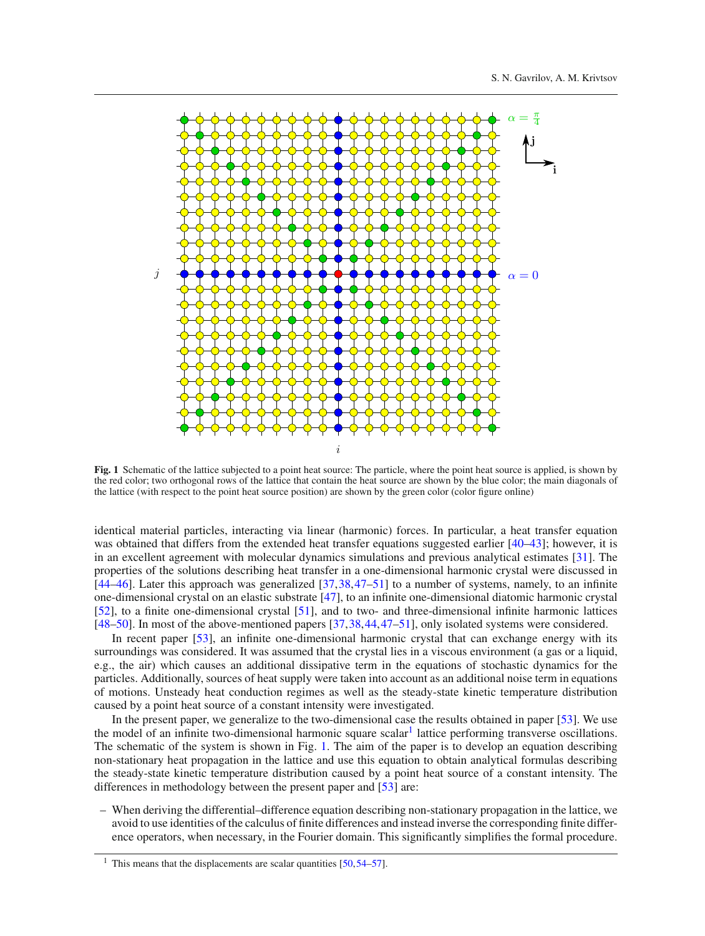

<span id="page-1-1"></span>**Fig. 1** Schematic of the lattice subjected to a point heat source: The particle, where the point heat source is applied, is shown by the red color; two orthogonal rows of the lattice that contain the heat source are shown by the blue color; the main diagonals of the lattice (with respect to the point heat source position) are shown by the green color (color figure online)

identical material particles, interacting via linear (harmonic) forces. In particular, a heat transfer equation was obtained that differs from the extended heat transfer equations suggested earlier [\[40](#page-19-3)[–43\]](#page-19-4); however, it is in an excellent agreement with molecular dynamics simulations and previous analytical estimates [\[31](#page-18-10)]. The properties of the solutions describing heat transfer in a one-dimensional harmonic crystal were discussed in [\[44](#page-19-5)[–46](#page-19-6)]. Later this approach was generalized [\[37](#page-19-1)[,38](#page-19-7),[47](#page-19-8)[–51](#page-19-9)] to a number of systems, namely, to an infinite one-dimensional crystal on an elastic substrate [\[47](#page-19-8)], to an infinite one-dimensional diatomic harmonic crystal [\[52](#page-19-10)], to a finite one-dimensional crystal [\[51](#page-19-9)], and to two- and three-dimensional infinite harmonic lattices [\[48](#page-19-11)[–50](#page-19-12)]. In most of the above-mentioned papers [\[37,](#page-19-1)[38](#page-19-7)[,44,](#page-19-5)[47](#page-19-8)[–51](#page-19-9)], only isolated systems were considered.

In recent paper [\[53](#page-19-13)], an infinite one-dimensional harmonic crystal that can exchange energy with its surroundings was considered. It was assumed that the crystal lies in a viscous environment (a gas or a liquid, e.g., the air) which causes an additional dissipative term in the equations of stochastic dynamics for the particles. Additionally, sources of heat supply were taken into account as an additional noise term in equations of motions. Unsteady heat conduction regimes as well as the steady-state kinetic temperature distribution caused by a point heat source of a constant intensity were investigated.

In the present paper, we generalize to the two-dimensional case the results obtained in paper [\[53](#page-19-13)]. We use the model of an infinite two-dimensional harmonic square scalar<sup>1</sup> lattice performing transverse oscillations. The schematic of the system is shown in Fig. [1.](#page-1-1) The aim of the paper is to develop an equation describing non-stationary heat propagation in the lattice and use this equation to obtain analytical formulas describing the steady-state kinetic temperature distribution caused by a point heat source of a constant intensity. The differences in methodology between the present paper and [\[53\]](#page-19-13) are:

– When deriving the differential–difference equation describing non-stationary propagation in the lattice, we avoid to use identities of the calculus of finite differences and instead inverse the corresponding finite difference operators, when necessary, in the Fourier domain. This significantly simplifies the formal procedure.

<span id="page-1-0"></span><sup>&</sup>lt;sup>1</sup> This means that the displacements are scalar quantities  $[50, 54-57]$  $[50, 54-57]$ .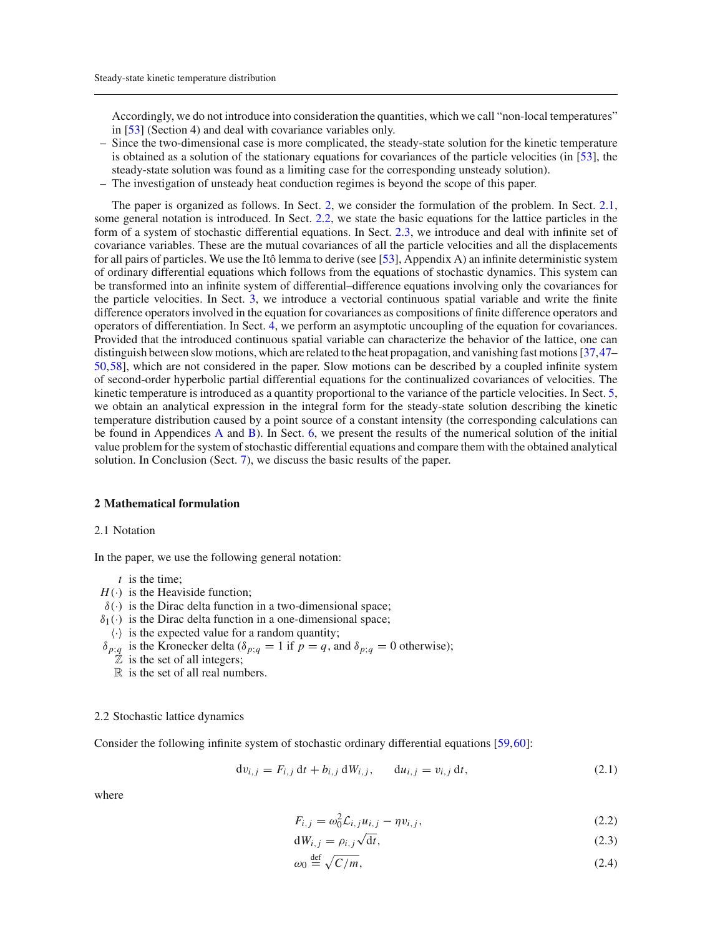Accordingly, we do not introduce into consideration the quantities, which we call "non-local temperatures" in [\[53\]](#page-19-13) (Section 4) and deal with covariance variables only.

- Since the two-dimensional case is more complicated, the steady-state solution for the kinetic temperature is obtained as a solution of the stationary equations for covariances of the particle velocities (in [\[53\]](#page-19-13), the steady-state solution was found as a limiting case for the corresponding unsteady solution).
- The investigation of unsteady heat conduction regimes is beyond the scope of this paper.

The paper is organized as follows. In Sect. [2,](#page-2-0) we consider the formulation of the problem. In Sect. [2.1,](#page-2-1) some general notation is introduced. In Sect. [2.2,](#page-2-2) we state the basic equations for the lattice particles in the form of a system of stochastic differential equations. In Sect. [2.3,](#page-3-0) we introduce and deal with infinite set of covariance variables. These are the mutual covariances of all the particle velocities and all the displacements for all pairs of particles. We use the Itô lemma to derive (see [\[53\]](#page-19-13), Appendix A) an infinite deterministic system of ordinary differential equations which follows from the equations of stochastic dynamics. This system can be transformed into an infinite system of differential–difference equations involving only the covariances for the particle velocities. In Sect. [3,](#page-4-0) we introduce a vectorial continuous spatial variable and write the finite difference operators involved in the equation for covariances as compositions of finite difference operators and operators of differentiation. In Sect. [4,](#page-6-0) we perform an asymptotic uncoupling of the equation for covariances. Provided that the introduced continuous spatial variable can characterize the behavior of the lattice, one can distinguish between slow motions, which are related to the heat propagation, and vanishing fast motions [\[37](#page-19-1),[47–](#page-19-8) [50](#page-19-12)[,58](#page-19-16)], which are not considered in the paper. Slow motions can be described by a coupled infinite system of second-order hyperbolic partial differential equations for the continualized covariances of velocities. The kinetic temperature is introduced as a quantity proportional to the variance of the particle velocities. In Sect. [5,](#page-7-0) we obtain an analytical expression in the integral form for the steady-state solution describing the kinetic temperature distribution caused by a point source of a constant intensity (the corresponding calculations can be found in Appendices [A](#page-0-0) and [B\)](#page-2-0). In Sect. [6,](#page-9-0) we present the results of the numerical solution of the initial value problem for the system of stochastic differential equations and compare them with the obtained analytical solution. In Conclusion (Sect. [7\)](#page-13-0), we discuss the basic results of the paper.

## <span id="page-2-0"></span>**2 Mathematical formulation**

#### <span id="page-2-1"></span>2.1 Notation

In the paper, we use the following general notation:

- *t* is the time;
- $H(\cdot)$  is the Heaviside function;
- $\delta(\cdot)$  is the Dirac delta function in a two-dimensional space;
- $\delta_1(\cdot)$  is the Dirac delta function in a one-dimensional space;
- $\langle \cdot \rangle$  is the expected value for a random quantity;
- $\delta_{p;q}$  is the Kronecker delta ( $\delta_{p;q} = 1$  if  $p = q$ , and  $\delta_{p;q} = 0$  otherwise);
	- $\overline{Z}$  is the set of all integers;
	- $\mathbb R$  is the set of all real numbers.

#### <span id="page-2-2"></span>2.2 Stochastic lattice dynamics

Consider the following infinite system of stochastic ordinary differential equations [\[59](#page-19-17)[,60](#page-19-18)]:

<span id="page-2-3"></span>
$$
dv_{i,j} = F_{i,j} dt + b_{i,j} dW_{i,j}, \t du_{i,j} = v_{i,j} dt,
$$
\n(2.1)

<span id="page-2-4"></span>
$$
F_{i,j} = \omega_0^2 \mathcal{L}_{i,j} u_{i,j} - \eta v_{i,j},
$$
\n(2.2)

$$
dW_{i,j} = \rho_{i,j}\sqrt{dt},\tag{2.3}
$$

$$
\omega_0 \stackrel{\text{def}}{=} \sqrt{C/m},\tag{2.4}
$$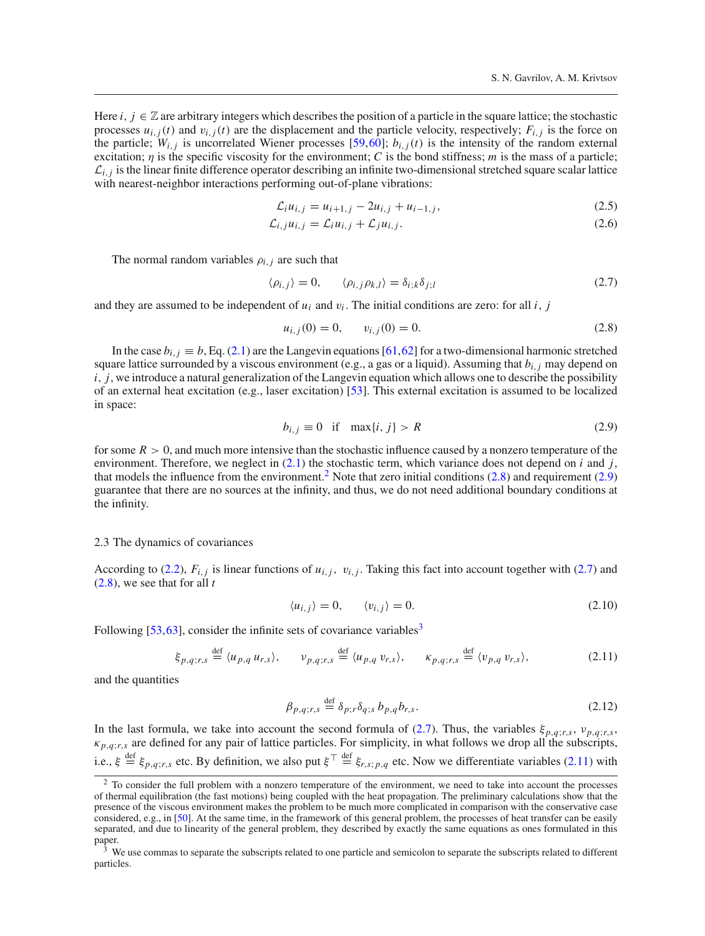Here *i*,  $j \in \mathbb{Z}$  are arbitrary integers which describes the position of a particle in the square lattice; the stochastic processes  $u_{i,j}(t)$  and  $v_{i,j}(t)$  are the displacement and the particle velocity, respectively;  $F_{i,j}$  is the force on the particle;  $W_{i,j}$  is uncorrelated Wiener processes [\[59,](#page-19-17)[60](#page-19-18)];  $b_{i,j}(t)$  is the intensity of the random external excitation; η is the specific viscosity for the environment; *C* is the bond stiffness; *m* is the mass of a particle;  $\mathcal{L}_{i,j}$  is the linear finite difference operator describing an infinite two-dimensional stretched square scalar lattice with nearest-neighbor interactions performing out-of-plane vibrations:

<span id="page-3-7"></span>
$$
\mathcal{L}_i u_{i,j} = u_{i+1,j} - 2u_{i,j} + u_{i-1,j},\tag{2.5}
$$

$$
\mathcal{L}_{i,j}u_{i,j} = \mathcal{L}_i u_{i,j} + \mathcal{L}_j u_{i,j}.
$$
\n(2.6)

The normal random variables  $\rho_{i,j}$  are such that

<span id="page-3-4"></span>
$$
\langle \rho_{i,j} \rangle = 0, \qquad \langle \rho_{i,j} \rho_{k,l} \rangle = \delta_{i,k} \delta_{j,l} \tag{2.7}
$$

and they are assumed to be independent of  $u_i$  and  $v_i$ . The initial conditions are zero: for all *i*, *j* 

<span id="page-3-2"></span>
$$
u_{i,j}(0) = 0, \qquad v_{i,j}(0) = 0. \tag{2.8}
$$

In the case  $b_{i,j} \equiv b$ , Eq. [\(2.1\)](#page-2-3) are the Langevin equations [\[61](#page-19-19),[62\]](#page-19-20) for a two-dimensional harmonic stretched square lattice surrounded by a viscous environment (e.g., a gas or a liquid). Assuming that *bi*,*<sup>j</sup>* may depend on *i*, *j*, we introduce a natural generalization of the Langevin equation which allows one to describe the possibility of an external heat excitation (e.g., laser excitation) [\[53\]](#page-19-13). This external excitation is assumed to be localized in space:

<span id="page-3-3"></span>
$$
b_{i,j} \equiv 0 \quad \text{if} \quad \max\{i,j\} > R \tag{2.9}
$$

for some  $R > 0$ , and much more intensive than the stochastic influence caused by a nonzero temperature of the environment. Therefore, we neglect in [\(2.1\)](#page-2-3) the stochastic term, which variance does not depend on *i* and *j*, that models the influence from the environment.<sup>[2](#page-3-1)</sup> Note that zero initial conditions  $(2.8)$  and requirement  $(2.9)$ guarantee that there are no sources at the infinity, and thus, we do not need additional boundary conditions at the infinity.

#### <span id="page-3-0"></span>2.3 The dynamics of covariances

According to [\(2.2\)](#page-2-4),  $F_{i,j}$  is linear functions of  $u_{i,j}$ ,  $v_{i,j}$ . Taking this fact into account together with [\(2.7\)](#page-3-4) and [\(2.8\)](#page-3-2), we see that for all *t*

$$
\langle u_{i,j} \rangle = 0, \qquad \langle v_{i,j} \rangle = 0. \tag{2.10}
$$

Following  $[53, 63]$  $[53, 63]$  $[53, 63]$  $[53, 63]$ , consider the infinite sets of covariance variables<sup>3</sup>

<span id="page-3-6"></span>
$$
\xi_{p,q;r,s} \stackrel{\text{def}}{=} \langle u_{p,q} u_{r,s} \rangle, \qquad v_{p,q;r,s} \stackrel{\text{def}}{=} \langle u_{p,q} v_{r,s} \rangle, \qquad \kappa_{p,q;r,s} \stackrel{\text{def}}{=} \langle v_{p,q} v_{r,s} \rangle,
$$
 (2.11)

and the quantities

<span id="page-3-8"></span>
$$
\beta_{p,q;r,s} \stackrel{\text{def}}{=} \delta_{p;r} \delta_{q;s} b_{p,q} b_{r,s}. \tag{2.12}
$$

In the last formula, we take into account the second formula of [\(2.7\)](#page-3-4). Thus, the variables  $\xi_{p,q;r,s}$ ,  $v_{p,q;r,s}$  $\kappa_{p,q;r,s}$  are defined for any pair of lattice particles. For simplicity, in what follows we drop all the subscripts, i.e.,  $\xi \stackrel{\text{def}}{=} \xi_{p,q;r,s}$  etc. By definition, we also put  $\xi^{\top} \stackrel{\text{def}}{=} \xi_{r,s;p,q}$  etc. Now we differentiate variables [\(2.11\)](#page-3-6) with

<span id="page-3-1"></span><sup>&</sup>lt;sup>2</sup> To consider the full problem with a nonzero temperature of the environment, we need to take into account the processes of thermal equilibration (the fast motions) being coupled with the heat propagation. The preliminary calculations show that the presence of the viscous environment makes the problem to be much more complicated in comparison with the conservative case considered, e.g., in [\[50\]](#page-19-12). At the same time, in the framework of this general problem, the processes of heat transfer can be easily separated, and due to linearity of the general problem, they described by exactly the same equations as ones formulated in this paper.

<span id="page-3-5"></span><sup>3</sup> We use commas to separate the subscripts related to one particle and semicolon to separate the subscripts related to different particles.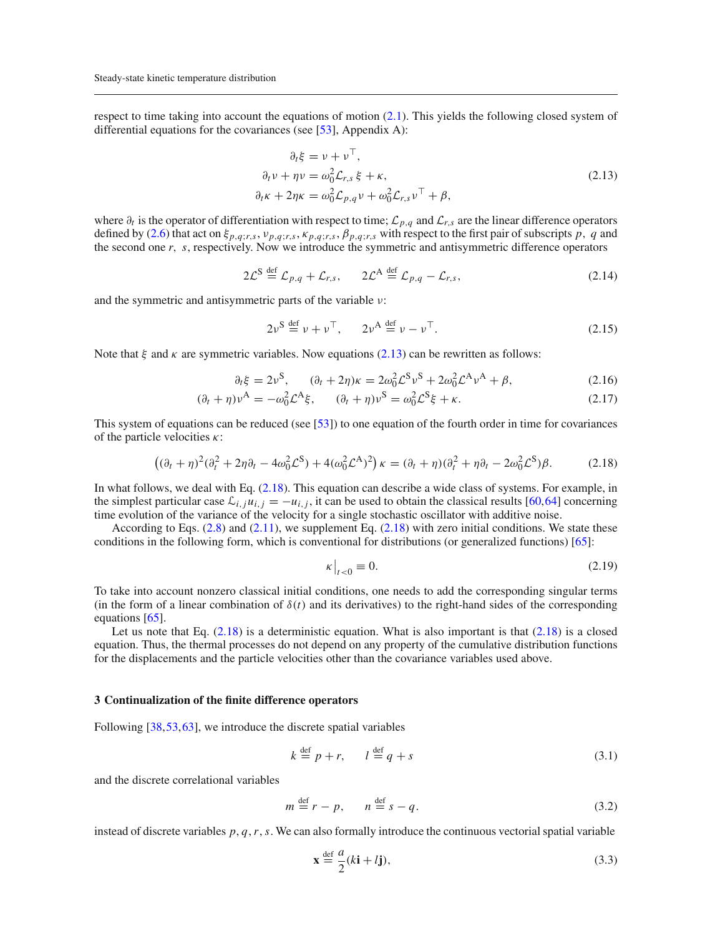respect to time taking into account the equations of motion [\(2.1\)](#page-2-3). This yields the following closed system of differential equations for the covariances (see  $[53]$  $[53]$ , Appendix A):

<span id="page-4-1"></span>
$$
\partial_t \xi = \nu + \nu^+,
$$
  
\n
$$
\partial_t \nu + \eta \nu = \omega_0^2 \mathcal{L}_{r,s} \xi + \kappa,
$$
  
\n
$$
\partial_t \kappa + 2\eta \kappa = \omega_0^2 \mathcal{L}_{p,q} \nu + \omega_0^2 \mathcal{L}_{r,s} \nu^\top + \beta,
$$
\n(2.13)

where ∂*<sup>t</sup>* is the operator of differentiation with respect to time; *Lp*,*<sup>q</sup>* and *Lr*,*<sup>s</sup>* are the linear difference operators defined by [\(2.6\)](#page-3-7) that act on  $\xi_{p,q;r,s}$ ,  $v_{p,q;r,s}$ ,  $\kappa_{p,q;r,s}$ ,  $\beta_{p,q;r,s}$  with respect to the first pair of subscripts p, q and the second one *r*, *s*, respectively. Now we introduce the symmetric and antisymmetric difference operators

$$
2\mathcal{L}^{\mathcal{S}} \stackrel{\text{def}}{=} \mathcal{L}_{p,q} + \mathcal{L}_{r,s}, \qquad 2\mathcal{L}^{\mathcal{A}} \stackrel{\text{def}}{=} \mathcal{L}_{p,q} - \mathcal{L}_{r,s}, \tag{2.14}
$$

and the symmetric and antisymmetric parts of the variable ν:

$$
2\nu^{\text{S}} \stackrel{\text{def}}{=} \nu + \nu^{\text{T}}, \qquad 2\nu^{\text{A}} \stackrel{\text{def}}{=} \nu - \nu^{\text{T}}.
$$

Note that  $\xi$  and  $\kappa$  are symmetric variables. Now equations [\(2.13\)](#page-4-1) can be rewritten as follows:

$$
\partial_t \xi = 2\nu^S, \qquad (\partial_t + 2\eta)\kappa = 2\omega_0^2 \mathcal{L}^S \nu^S + 2\omega_0^2 \mathcal{L}^A \nu^A + \beta, \tag{2.16}
$$

$$
(\partial_t + \eta)\nu^A = -\omega_0^2 \mathcal{L}^A \xi, \qquad (\partial_t + \eta)\nu^S = \omega_0^2 \mathcal{L}^S \xi + \kappa. \tag{2.17}
$$

This system of equations can be reduced (see [\[53](#page-19-13)]) to one equation of the fourth order in time for covariances of the particle velocities  $\kappa$ :

<span id="page-4-2"></span>
$$
((\partial_t + \eta)^2 (\partial_t^2 + 2\eta \partial_t - 4\omega_0^2 \mathcal{L}^S) + 4(\omega_0^2 \mathcal{L}^A)^2) \kappa = (\partial_t + \eta)(\partial_t^2 + \eta \partial_t - 2\omega_0^2 \mathcal{L}^S) \beta. \tag{2.18}
$$

In what follows, we deal with Eq. [\(2.18\)](#page-4-2). This equation can describe a wide class of systems. For example, in the simplest particular case  $\mathcal{L}_{i,i}u_{i,j} = -u_{i,j}$ , it can be used to obtain the classical results [\[60](#page-19-18),[64\]](#page-19-22) concerning time evolution of the variance of the velocity for a single stochastic oscillator with additive noise.

According to Eqs.  $(2.8)$  and  $(2.11)$ , we supplement Eq.  $(2.18)$  with zero initial conditions. We state these conditions in the following form, which is conventional for distributions (or generalized functions) [\[65](#page-19-23)]:

<span id="page-4-5"></span>
$$
\kappa\big|_{t<0}\equiv 0.\tag{2.19}
$$

To take into account nonzero classical initial conditions, one needs to add the corresponding singular terms (in the form of a linear combination of  $\delta(t)$  and its derivatives) to the right-hand sides of the corresponding equations [\[65\]](#page-19-23).

Let us note that Eq.  $(2.18)$  is a deterministic equation. What is also important is that  $(2.18)$  is a closed equation. Thus, the thermal processes do not depend on any property of the cumulative distribution functions for the displacements and the particle velocities other than the covariance variables used above.

#### <span id="page-4-0"></span>**3 Continualization of the finite difference operators**

Following [\[38](#page-19-7)[,53,](#page-19-13)[63](#page-19-21)], we introduce the discrete spatial variables

<span id="page-4-3"></span>
$$
k \stackrel{\text{def}}{=} p + r, \qquad l \stackrel{\text{def}}{=} q + s \tag{3.1}
$$

and the discrete correlational variables

<span id="page-4-4"></span>
$$
m \stackrel{\text{def}}{=} r - p, \qquad n \stackrel{\text{def}}{=} s - q. \tag{3.2}
$$

instead of discrete variables  $p$ ,  $q$ ,  $r$ ,  $s$ . We can also formally introduce the continuous vectorial spatial variable

$$
\mathbf{x} \stackrel{\text{def}}{=} \frac{a}{2}(k\mathbf{i} + l\mathbf{j}),\tag{3.3}
$$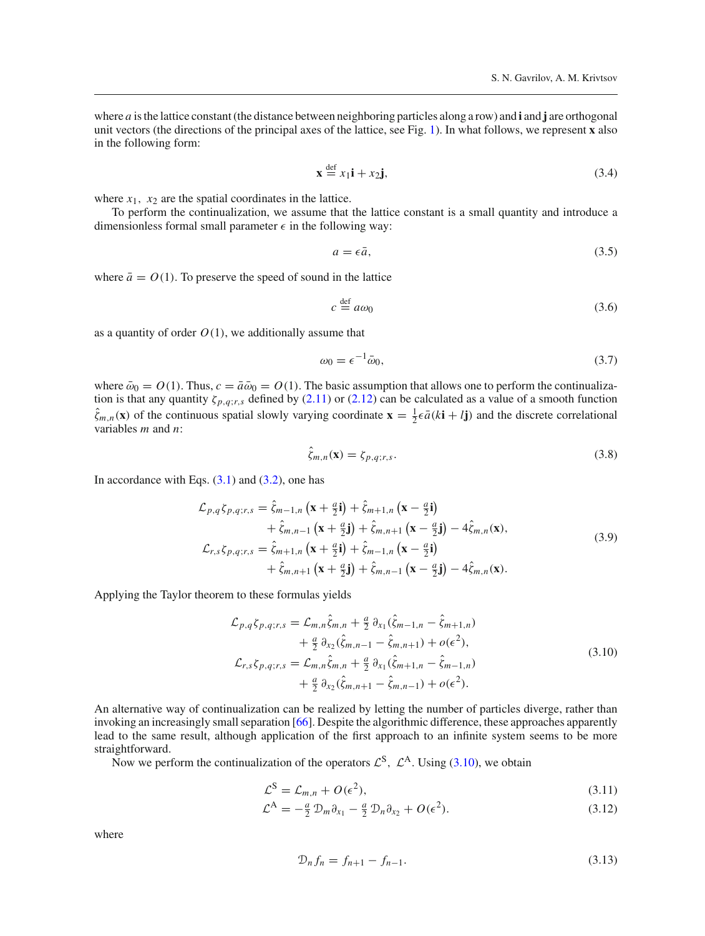where *a* is the lattice constant (the distance between neighboring particles along a row) and **i** and **j** are orthogonal unit vectors (the directions of the principal axes of the lattice, see Fig. [1\)](#page-1-1). In what follows, we represent **x** also in the following form:

<span id="page-5-4"></span>
$$
\mathbf{x} \stackrel{\text{def}}{=} x_1 \mathbf{i} + x_2 \mathbf{j},\tag{3.4}
$$

where  $x_1$ ,  $x_2$  are the spatial coordinates in the lattice.

To perform the continualization, we assume that the lattice constant is a small quantity and introduce a dimensionless formal small parameter  $\epsilon$  in the following way:

$$
a = \epsilon \bar{a},\tag{3.5}
$$

where  $\bar{a} = O(1)$ . To preserve the speed of sound in the lattice

$$
c \stackrel{\text{def}}{=} a\omega_0 \tag{3.6}
$$

as a quantity of order  $O(1)$ , we additionally assume that

<span id="page-5-1"></span>
$$
\omega_0 = \epsilon^{-1} \bar{\omega}_0,\tag{3.7}
$$

where  $\bar{\omega}_0 = O(1)$ . Thus,  $c = \bar{a}\bar{\omega}_0 = O(1)$ . The basic assumption that allows one to perform the continualization is that any quantity  $\zeta_{p,q;r,s}$  defined by [\(2.11\)](#page-3-6) or [\(2.12\)](#page-3-8) can be calculated as a value of a smooth function  $\hat{\zeta}_{m,n}(\mathbf{x})$  of the continuous spatial slowly varying coordinate  $\mathbf{x} = \frac{1}{2} \epsilon \bar{a} (k \mathbf{i} + l \mathbf{j})$  and the discrete correlational variables *m* and *n*:

<span id="page-5-3"></span>
$$
\zeta_{m,n}(\mathbf{x}) = \zeta_{p,q;r,s}.\tag{3.8}
$$

In accordance with Eqs.  $(3.1)$  and  $(3.2)$ , one has

$$
\mathcal{L}_{p,q}\zeta_{p,q;r,s} = \hat{\zeta}_{m-1,n}\left(\mathbf{x} + \frac{a}{2}\mathbf{i}\right) + \hat{\zeta}_{m+1,n}\left(\mathbf{x} - \frac{a}{2}\mathbf{i}\right) \n+ \hat{\zeta}_{m,n-1}\left(\mathbf{x} + \frac{a}{2}\mathbf{j}\right) + \hat{\zeta}_{m,n+1}\left(\mathbf{x} - \frac{a}{2}\mathbf{j}\right) - 4\hat{\zeta}_{m,n}(\mathbf{x}), \n\mathcal{L}_{r,s}\zeta_{p,q;r,s} = \hat{\zeta}_{m+1,n}\left(\mathbf{x} + \frac{a}{2}\mathbf{i}\right) + \hat{\zeta}_{m-1,n}\left(\mathbf{x} - \frac{a}{2}\mathbf{i}\right) \n+ \hat{\zeta}_{m,n+1}\left(\mathbf{x} + \frac{a}{2}\mathbf{j}\right) + \hat{\zeta}_{m,n-1}\left(\mathbf{x} - \frac{a}{2}\mathbf{j}\right) - 4\hat{\zeta}_{m,n}(\mathbf{x}).
$$
\n(3.9)

Applying the Taylor theorem to these formulas yields

<span id="page-5-0"></span>
$$
\mathcal{L}_{p,q}\zeta_{p,q;r,s} = \mathcal{L}_{m,n}\hat{\zeta}_{m,n} + \frac{a}{2}\partial_{x_1}(\hat{\zeta}_{m-1,n} - \hat{\zeta}_{m+1,n}) \n+ \frac{a}{2}\partial_{x_2}(\hat{\zeta}_{m,n-1} - \hat{\zeta}_{m,n+1}) + o(\epsilon^2), \n\mathcal{L}_{r,s}\zeta_{p,q;r,s} = \mathcal{L}_{m,n}\hat{\zeta}_{m,n} + \frac{a}{2}\partial_{x_1}(\hat{\zeta}_{m+1,n} - \hat{\zeta}_{m-1,n}) \n+ \frac{a}{2}\partial_{x_2}(\hat{\zeta}_{m,n+1} - \hat{\zeta}_{m,n-1}) + o(\epsilon^2).
$$
\n(3.10)

An alternative way of continualization can be realized by letting the number of particles diverge, rather than invoking an increasingly small separation [\[66\]](#page-19-24). Despite the algorithmic difference, these approaches apparently lead to the same result, although application of the first approach to an infinite system seems to be more straightforward.

Now we perform the continualization of the operators  $\mathcal{L}^{S}$ ,  $\mathcal{L}^{A}$ . Using [\(3.10\)](#page-5-0), we obtain

<span id="page-5-2"></span>
$$
\mathcal{L}^{\mathcal{S}} = \mathcal{L}_{m,n} + O(\epsilon^2),\tag{3.11}
$$

$$
\mathcal{L}^{\mathcal{A}} = -\frac{a}{2} \mathcal{D}_m \partial_{x_1} - \frac{a}{2} \mathcal{D}_n \partial_{x_2} + O(\epsilon^2). \tag{3.12}
$$

$$
\mathcal{D}_n f_n = f_{n+1} - f_{n-1}.\tag{3.13}
$$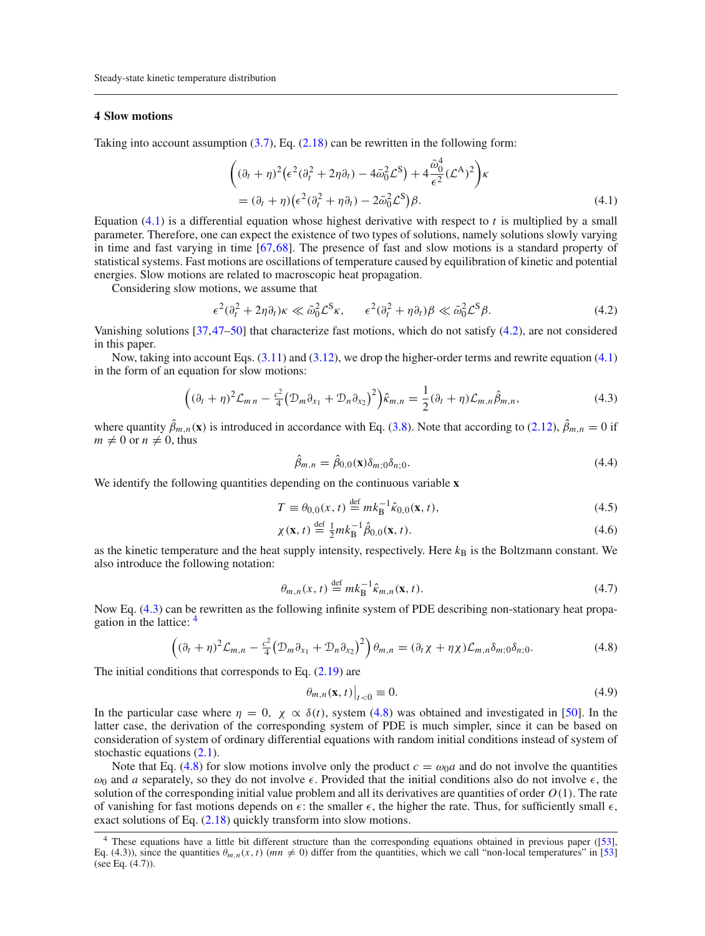# <span id="page-6-0"></span>**4 Slow motions**

Taking into account assumption  $(3.7)$ , Eq.  $(2.18)$  can be rewritten in the following form:

<span id="page-6-1"></span>
$$
\begin{aligned} \left( (\partial_t + \eta)^2 \left( \epsilon^2 (\partial_t^2 + 2\eta \partial_t) - 4\bar{\omega}_0^2 \mathcal{L}^S \right) + 4 \frac{\bar{\omega}_0^4}{\epsilon^2} (\mathcal{L}^A)^2 \right) &\kappa \\ &= (\partial_t + \eta) \left( \epsilon^2 (\partial_t^2 + \eta \partial_t) - 2\bar{\omega}_0^2 \mathcal{L}^S \right) &\beta. \end{aligned} \tag{4.1}
$$

Equation [\(4.1\)](#page-6-1) is a differential equation whose highest derivative with respect to *t* is multiplied by a small parameter. Therefore, one can expect the existence of two types of solutions, namely solutions slowly varying in time and fast varying in time [\[67](#page-19-25),[68\]](#page-19-26). The presence of fast and slow motions is a standard property of statistical systems. Fast motions are oscillations of temperature caused by equilibration of kinetic and potential energies. Slow motions are related to macroscopic heat propagation.

Considering slow motions, we assume that

<span id="page-6-2"></span>
$$
\epsilon^2(\partial_t^2 + 2\eta \partial_t)\kappa \ll \bar{\omega}_0^2 \mathcal{L}^S \kappa, \qquad \epsilon^2(\partial_t^2 + \eta \partial_t)\beta \ll \bar{\omega}_0^2 \mathcal{L}^S \beta.
$$
 (4.2)

Vanishing solutions [\[37](#page-19-1)[,47](#page-19-8)[–50\]](#page-19-12) that characterize fast motions, which do not satisfy [\(4.2\)](#page-6-2), are not considered in this paper.

Now, taking into account Eqs. [\(3.11\)](#page-5-2) and [\(3.12\)](#page-5-2), we drop the higher-order terms and rewrite equation [\(4.1\)](#page-6-1) in the form of an equation for slow motions:

<span id="page-6-3"></span>
$$
\left( (\partial_t + \eta)^2 \mathcal{L}_{m n} - \frac{c^2}{4} \left( \mathcal{D}_m \partial_{x_1} + \mathcal{D}_n \partial_{x_2} \right)^2 \right) \hat{\kappa}_{m,n} = \frac{1}{2} (\partial_t + \eta) \mathcal{L}_{m,n} \hat{\beta}_{m,n}, \tag{4.3}
$$

where quantity  $\beta_{m,n}(\mathbf{x})$  is introduced in accordance with Eq. [\(3.8\)](#page-5-3). Note that according to [\(2.12\)](#page-3-8),  $\beta_{m,n} = 0$  if  $m \neq 0$  or  $n \neq 0$ , thus

$$
\hat{\beta}_{m,n} = \hat{\beta}_{0,0}(\mathbf{x}) \delta_{m;0} \delta_{n;0}.
$$
\n(4.4)

We identify the following quantities depending on the continuous variable **x**

<span id="page-6-8"></span>
$$
T \equiv \theta_{0,0}(x,t) \stackrel{\text{def}}{=} m k_{\text{B}}^{-1} \hat{\kappa}_{0,0}(\mathbf{x},t), \tag{4.5}
$$

$$
\chi(\mathbf{x}, t) \stackrel{\text{def}}{=} \frac{1}{2} m k_{\text{B}}^{-1} \hat{\beta}_{0,0}(\mathbf{x}, t). \tag{4.6}
$$

as the kinetic temperature and the heat supply intensity, respectively. Here  $k_B$  is the Boltzmann constant. We also introduce the following notation:

<span id="page-6-7"></span>
$$
\theta_{m,n}(x,t) \stackrel{\text{def}}{=} mk_{\mathcal{B}}^{-1} \hat{\kappa}_{m,n}(\mathbf{x},t). \tag{4.7}
$$

Now Eq. [\(4.3\)](#page-6-3) can be rewritten as the following infinite system of PDE describing non-stationary heat propagation in the lattice: [4](#page-6-4)

<span id="page-6-5"></span>
$$
\left( (\partial_t + \eta)^2 \mathcal{L}_{m,n} - \frac{c^2}{4} \left( \mathcal{D}_m \partial_{x_1} + \mathcal{D}_n \partial_{x_2} \right)^2 \right) \theta_{m,n} = (\partial_t \chi + \eta \chi) \mathcal{L}_{m,n} \delta_{m;0} \delta_{n;0}.
$$
\n(4.8)

The initial conditions that corresponds to Eq.  $(2.19)$  are

<span id="page-6-6"></span>
$$
\left.\theta_{m,n}(\mathbf{x},t)\right|_{t<0}\equiv 0.\tag{4.9}
$$

In the particular case where  $\eta = 0$ ,  $\chi \propto \delta(t)$ , system [\(4.8\)](#page-6-5) was obtained and investigated in [\[50](#page-19-12)]. In the latter case, the derivation of the corresponding system of PDE is much simpler, since it can be based on consideration of system of ordinary differential equations with random initial conditions instead of system of stochastic equations [\(2.1\)](#page-2-3).

Note that Eq. [\(4.8\)](#page-6-5) for slow motions involve only the product  $c = \omega_0 a$  and do not involve the quantities  $\omega_0$  and *a* separately, so they do not involve  $\epsilon$ . Provided that the initial conditions also do not involve  $\epsilon$ , the solution of the corresponding initial value problem and all its derivatives are quantities of order *O*(1). The rate of vanishing for fast motions depends on  $\epsilon$ : the smaller  $\epsilon$ , the higher the rate. Thus, for sufficiently small  $\epsilon$ , exact solutions of Eq.  $(2.18)$  quickly transform into slow motions.

<span id="page-6-4"></span><sup>&</sup>lt;sup>4</sup> These equations have a little bit different structure than the corresponding equations obtained in previous paper ([\[53\]](#page-19-13), Eq. (4.3)), since the quantities  $\theta_{m,n}(x, t)$  ( $mn \neq 0$ ) differ from the quantities, which we call "non-local temperatures" in [\[53\]](#page-19-13) (see Eq. (4.7)).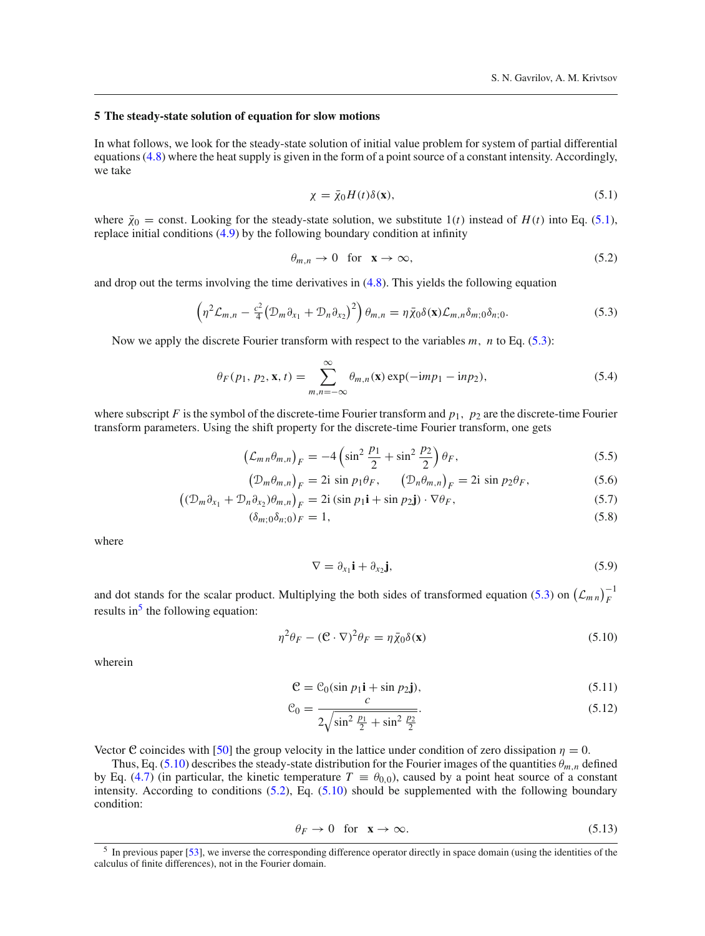#### <span id="page-7-0"></span>**5 The steady-state solution of equation for slow motions**

In what follows, we look for the steady-state solution of initial value problem for system of partial differential equations [\(4.8\)](#page-6-5) where the heat supply is given in the form of a point source of a constant intensity. Accordingly, we take

<span id="page-7-1"></span>
$$
\chi = \bar{\chi}_0 H(t) \delta(\mathbf{x}),\tag{5.1}
$$

where  $\bar{\chi}_0$  = const. Looking for the steady-state solution, we substitute 1(*t*) instead of *H*(*t*) into Eq. [\(5.1\)](#page-7-1), replace initial conditions [\(4.9\)](#page-6-6) by the following boundary condition at infinity

<span id="page-7-5"></span>
$$
\theta_{m,n} \to 0 \quad \text{for} \quad \mathbf{x} \to \infty,\tag{5.2}
$$

and drop out the terms involving the time derivatives in  $(4.8)$ . This yields the following equation

<span id="page-7-2"></span>
$$
\left(\eta^2 \mathcal{L}_{m,n} - \frac{c^2}{4} \left(\mathcal{D}_m \partial_{x_1} + \mathcal{D}_n \partial_{x_2}\right)^2\right) \theta_{m,n} = \eta \bar{\chi}_0 \delta(\mathbf{x}) \mathcal{L}_{m,n} \delta_{m;0} \delta_{n;0}.
$$
\n(5.3)

Now we apply the discrete Fourier transform with respect to the variables *m*, *n* to Eq. [\(5.3\)](#page-7-2):

$$
\theta_F(p_1, p_2, \mathbf{x}, t) = \sum_{m,n=-\infty}^{\infty} \theta_{m,n}(\mathbf{x}) \exp(-\mathrm{i}mp_1 - \mathrm{i}np_2), \tag{5.4}
$$

where subscript  $F$  is the symbol of the discrete-time Fourier transform and  $p_1$ ,  $p_2$  are the discrete-time Fourier transform parameters. Using the shift property for the discrete-time Fourier transform, one gets

$$
\left(\mathcal{L}_{m n}\theta_{m,n}\right)_{F} = -4\left(\sin^{2}\frac{p_{1}}{2} + \sin^{2}\frac{p_{2}}{2}\right)\theta_{F},\tag{5.5}
$$

$$
\left(\mathcal{D}_m\theta_{m,n}\right)_F = 2i \sin p_1 \theta_F, \qquad \left(\mathcal{D}_n\theta_{m,n}\right)_F = 2i \sin p_2 \theta_F,\tag{5.6}
$$

$$
\left((\mathcal{D}_m \partial_{x_1} + \mathcal{D}_n \partial_{x_2})\theta_{m,n}\right)_F = 2i\left(\sin p_1 \mathbf{i} + \sin p_2 \mathbf{j}\right) \cdot \nabla \theta_F,\tag{5.7}
$$

$$
(\delta_{m;0}\delta_{n;0})_F = 1,\tag{5.8}
$$

where

$$
\nabla = \partial_{x_1} \mathbf{i} + \partial_{x_2} \mathbf{j},\tag{5.9}
$$

and dot stands for the scalar product. Multiplying the both sides of transformed equation [\(5.3\)](#page-7-2) on  $(\mathcal{L}_{mn})_F^{-1}$ results in<sup>[5](#page-7-3)</sup> the following equation:

<span id="page-7-4"></span>
$$
\eta^2 \theta_F - (\mathbf{C} \cdot \nabla)^2 \theta_F = \eta \bar{\chi}_0 \delta(\mathbf{x}) \tag{5.10}
$$

wherein

<span id="page-7-7"></span>
$$
\mathbf{C} = \mathbf{C}_0(\sin p_1 \mathbf{i} + \sin p_2 \mathbf{j}),\tag{5.11}
$$

$$
\mathcal{C}_0 = \frac{c}{2\sqrt{\sin^2\frac{p_1}{2} + \sin^2\frac{p_2}{2}}}.\tag{5.12}
$$

Vector **C** coincides with [\[50](#page-19-12)] the group velocity in the lattice under condition of zero dissipation  $\eta = 0$ .

Thus, Eq. [\(5.10\)](#page-7-4) describes the steady-state distribution for the Fourier images of the quantities  $\theta_{m,n}$  defined by Eq. [\(4.7\)](#page-6-7) (in particular, the kinetic temperature  $T \equiv \theta_{0,0}$ ), caused by a point heat source of a constant intensity. According to conditions [\(5.2\)](#page-7-5), Eq. [\(5.10\)](#page-7-4) should be supplemented with the following boundary condition:

<span id="page-7-6"></span>
$$
\theta_F \to 0 \quad \text{for} \quad \mathbf{x} \to \infty. \tag{5.13}
$$

<span id="page-7-3"></span><sup>5</sup> In previous paper [\[53](#page-19-13)], we inverse the corresponding difference operator directly in space domain (using the identities of the calculus of finite differences), not in the Fourier domain.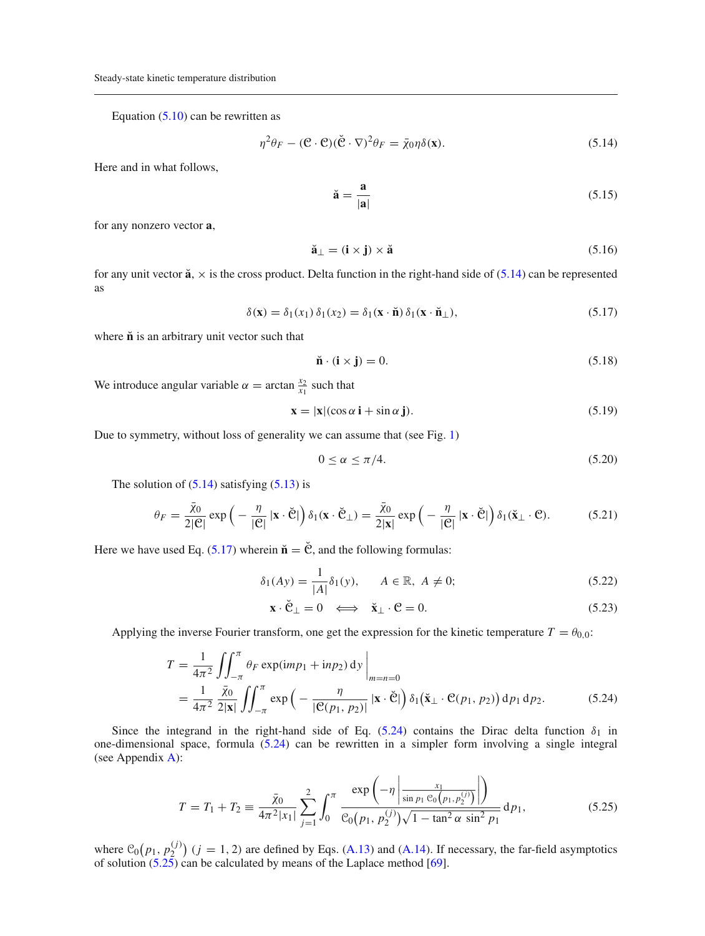Equation  $(5.10)$  can be rewritten as

<span id="page-8-0"></span>
$$
\eta^2 \theta_F - (\mathbf{C} \cdot \mathbf{C})(\breve{\mathbf{C}} \cdot \nabla)^2 \theta_F = \bar{\chi}_0 \eta \delta(\mathbf{x}).\tag{5.14}
$$

Here and in what follows,

$$
\breve{\mathbf{a}} = \frac{\mathbf{a}}{|\mathbf{a}|} \tag{5.15}
$$

for any nonzero vector **a**,

$$
\breve{\mathbf{a}}_{\perp} = (\mathbf{i} \times \mathbf{j}) \times \breve{\mathbf{a}} \tag{5.16}
$$

for any unit vector  $\ddot{a}$ ,  $\times$  is the cross product. Delta function in the right-hand side of [\(5.14\)](#page-8-0) can be represented as

<span id="page-8-1"></span>
$$
\delta(\mathbf{x}) = \delta_1(x_1) \, \delta_1(x_2) = \delta_1(\mathbf{x} \cdot \mathbf{\check{n}}) \, \delta_1(\mathbf{x} \cdot \mathbf{\check{n}}_\perp),\tag{5.17}
$$

where  $\check{\mathbf{n}}$  is an arbitrary unit vector such that

$$
\mathbf{\check{n}} \cdot (\mathbf{i} \times \mathbf{j}) = 0. \tag{5.18}
$$

We introduce angular variable  $\alpha = \arctan \frac{x_2}{x_1}$  such that

$$
\mathbf{x} = |\mathbf{x}|(\cos \alpha \, \mathbf{i} + \sin \alpha \, \mathbf{j}).\tag{5.19}
$$

Due to symmetry, without loss of generality we can assume that (see Fig. [1\)](#page-1-1)

<span id="page-8-4"></span>
$$
0 \le \alpha \le \pi/4. \tag{5.20}
$$

The solution of  $(5.14)$  satisfying  $(5.13)$  is

$$
\theta_F = \frac{\bar{\chi}_0}{2|\mathcal{C}|} \exp\left(-\frac{\eta}{|\mathcal{C}|} \left|\mathbf{x} \cdot \check{\mathcal{C}}\right|\right) \delta_1(\mathbf{x} \cdot \check{\mathcal{C}}_\perp) = \frac{\bar{\chi}_0}{2|\mathbf{x}|} \exp\left(-\frac{\eta}{|\mathcal{C}|} \left|\mathbf{x} \cdot \check{\mathcal{C}}\right|\right) \delta_1(\check{\mathbf{x}}_\perp \cdot \mathcal{C}).\tag{5.21}
$$

Here we have used Eq.  $(5.17)$  wherein  $\check{\mathbf{n}} = \check{\mathbf{C}}$ , and the following formulas:

$$
\delta_1(Ay) = \frac{1}{|A|} \delta_1(y), \qquad A \in \mathbb{R}, \ A \neq 0; \tag{5.22}
$$

$$
\mathbf{x} \cdot \check{\mathbf{C}}_{\perp} = 0 \iff \check{\mathbf{x}}_{\perp} \cdot \mathbf{C} = 0. \tag{5.23}
$$

Applying the inverse Fourier transform, one get the expression for the kinetic temperature  $T = \theta_{0,0}$ :

<span id="page-8-2"></span>
$$
T = \frac{1}{4\pi^2} \iint_{-\pi}^{\pi} \theta_F \exp(imp_1 + inp_2) \, \mathrm{d}y \Big|_{m=n=0}
$$
  
= 
$$
\frac{1}{4\pi^2} \frac{\bar{x}_0}{2|\mathbf{x}|} \iint_{-\pi}^{\pi} \exp\left(-\frac{\eta}{|\mathcal{C}(p_1, p_2)|} |\mathbf{x} \cdot \check{\mathcal{C}}|\right) \delta_1(\check{\mathbf{x}}_\perp \cdot \mathcal{C}(p_1, p_2)) \, \mathrm{d}p_1 \, \mathrm{d}p_2.
$$
 (5.24)

Since the integrand in the right-hand side of Eq. [\(5.24\)](#page-8-2) contains the Dirac delta function  $\delta_1$  in one-dimensional space, formula [\(5.24\)](#page-8-2) can be rewritten in a simpler form involving a single integral (see Appendix [A\)](#page-0-0):

<span id="page-8-3"></span>
$$
T = T_1 + T_2 \equiv \frac{\bar{\chi}_0}{4\pi^2|x_1|} \sum_{j=1}^2 \int_0^\pi \frac{\exp\left(-\eta \left|\frac{x_1}{\sin p_1 \mathcal{C}_0(p_1, p_2^{(j)})}\right|\right)}{\mathcal{C}_0(p_1, p_2^{(j)})\sqrt{1 - \tan^2 \alpha \sin^2 p_1}} dp_1,
$$
(5.25)

where  $C_0(p_1, p_2^{(j)})$  ( $j = 1, 2$ ) are defined by Eqs. [\(A.13\)](#page-16-0) and [\(A.14\)](#page-16-0). If necessary, the far-field asymptotics of solution  $(5.25)$  can be calculated by means of the Laplace method  $[69]$  $[69]$ .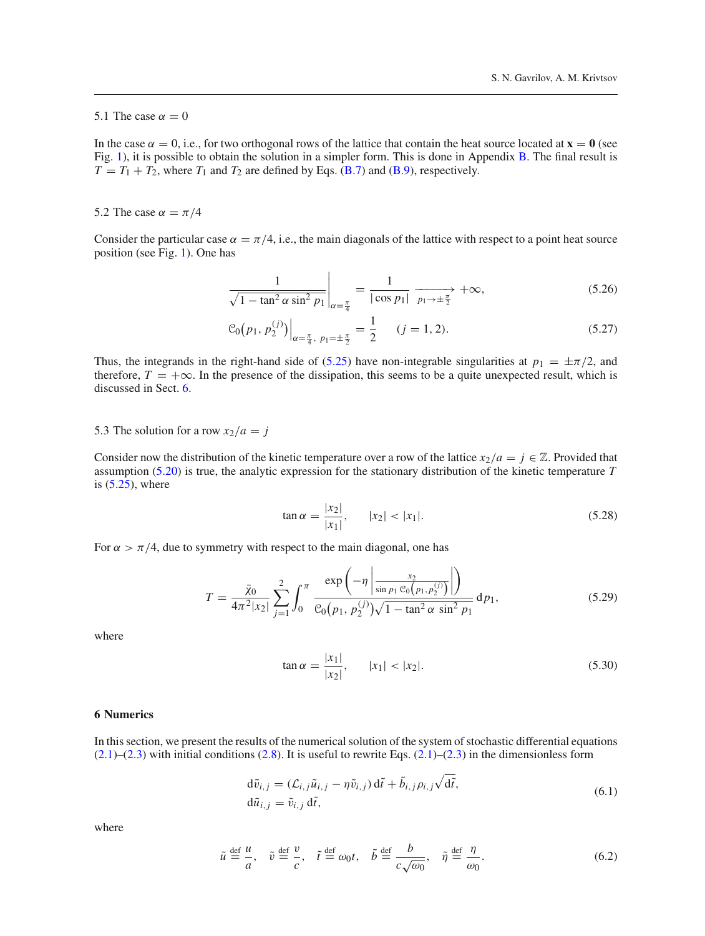# 5.1 The case  $\alpha = 0$

In the case  $\alpha = 0$ , i.e., for two orthogonal rows of the lattice that contain the heat source located at  $\mathbf{x} = \mathbf{0}$  (see Fig. [1\)](#page-1-1), it is possible to obtain the solution in a simpler form. This is done in Appendix [B.](#page-2-0) The final result is  $T = T_1 + T_2$ , where  $T_1$  and  $T_2$  are defined by Eqs. [\(B.7\)](#page-3-4) and [\(B.9\)](#page-3-3), respectively.

# <span id="page-9-2"></span>5.2 The case  $\alpha = \pi/4$

Consider the particular case  $\alpha = \pi/4$ , i.e., the main diagonals of the lattice with respect to a point heat source position (see Fig. [1\)](#page-1-1). One has

$$
\frac{1}{\sqrt{1 - \tan^2 \alpha \sin^2 p_1}} \bigg|_{\alpha = \frac{\pi}{4}} = \frac{1}{|\cos p_1|} \xrightarrow[p_1 \to \pm \frac{\pi}{2}]{} + \infty,
$$
\n(5.26)

$$
\mathcal{C}_0(p_1, p_2^{(j)})\Big|_{\alpha=\frac{\pi}{4}, p_1=\pm\frac{\pi}{2}} = \frac{1}{2} \qquad (j=1,2). \tag{5.27}
$$

Thus, the integrands in the right-hand side of [\(5.25\)](#page-8-3) have non-integrable singularities at  $p_1 = \pm \pi/2$ , and therefore,  $T = +\infty$ . In the presence of the dissipation, this seems to be a quite unexpected result, which is discussed in Sect. [6.](#page-9-0)

# 5.3 The solution for a row  $x_2/a = j$

Consider now the distribution of the kinetic temperature over a row of the lattice  $x_2/a = j \in \mathbb{Z}$ . Provided that assumption [\(5.20\)](#page-8-4) is true, the analytic expression for the stationary distribution of the kinetic temperature *T* is  $(5.25)$ , where

$$
\tan \alpha = \frac{|x_2|}{|x_1|}, \qquad |x_2| < |x_1|. \tag{5.28}
$$

For  $\alpha > \pi/4$ , due to symmetry with respect to the main diagonal, one has

<span id="page-9-1"></span>
$$
T = \frac{\bar{\chi}_0}{4\pi^2|x_2|} \sum_{j=1}^2 \int_0^\pi \frac{\exp\left(-\eta \left|\frac{x_2}{\sin p_1 \mathcal{C}_0(p_1, p_2^{(j)})}\right|\right)}{\mathcal{C}_0(p_1, p_2^{(j)})\sqrt{1 - \tan^2 \alpha \sin^2 p_1}} dp_1,
$$
(5.29)

where

$$
\tan \alpha = \frac{|x_1|}{|x_2|}, \qquad |x_1| < |x_2|. \tag{5.30}
$$

#### <span id="page-9-0"></span>**6 Numerics**

In this section, we present the results of the numerical solution of the system of stochastic differential equations  $(2.1)$ – $(2.3)$  with initial conditions  $(2.8)$ . It is useful to rewrite Eqs.  $(2.1)$ – $(2.3)$  in the dimensionless form

$$
d\tilde{v}_{i,j} = (\mathcal{L}_{i,j}\tilde{u}_{i,j} - \eta \tilde{v}_{i,j}) d\tilde{t} + \tilde{b}_{i,j}\rho_{i,j}\sqrt{d\tilde{t}},
$$
  
\n
$$
d\tilde{u}_{i,j} = \tilde{v}_{i,j} d\tilde{t},
$$
\n(6.1)

$$
\tilde{u} \stackrel{\text{def}}{=} \frac{u}{a}, \quad \tilde{v} \stackrel{\text{def}}{=} \frac{v}{c}, \quad \tilde{t} \stackrel{\text{def}}{=} \omega_0 t, \quad \tilde{b} \stackrel{\text{def}}{=} \frac{b}{c\sqrt{\omega_0}}, \quad \tilde{\eta} \stackrel{\text{def}}{=} \frac{\eta}{\omega_0}.
$$
\n(6.2)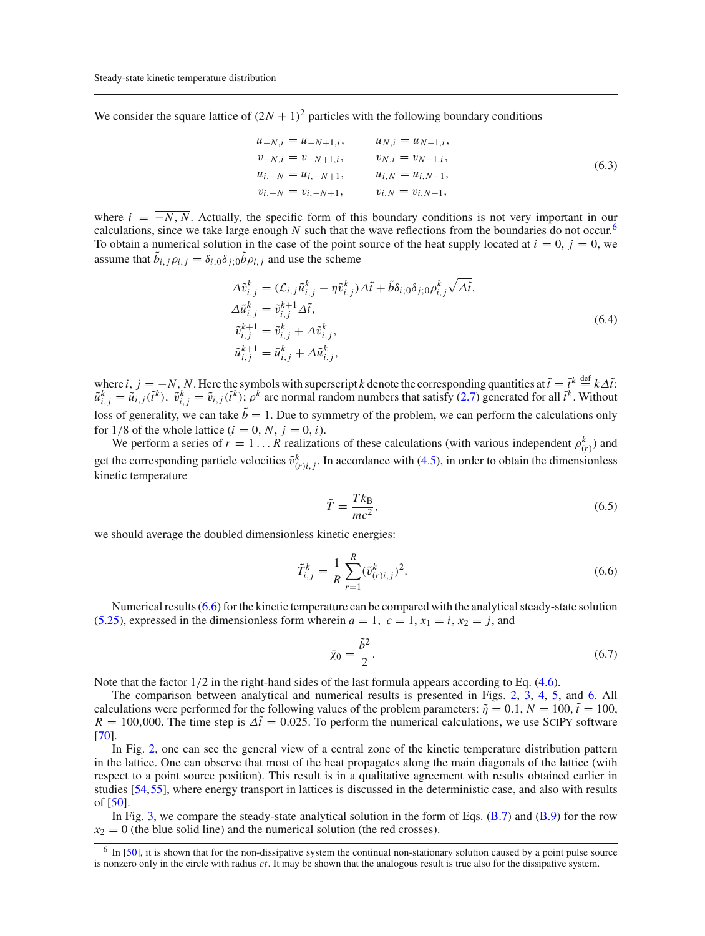We consider the square lattice of  $(2N + 1)^2$  particles with the following boundary conditions

$$
u_{-N,i} = u_{-N+1,i}, \t u_{N,i} = u_{N-1,i},
$$
  
\n
$$
v_{-N,i} = v_{-N+1,i}, \t v_{N,i} = v_{N-1,i},
$$
  
\n
$$
u_{i,-N} = u_{i,-N+1}, \t u_{i,N} = u_{i,N-1},
$$
  
\n
$$
v_{i,-N} = v_{i,-N+1}, \t v_{i,N} = v_{i,N-1},
$$
  
\n(6.3)

where  $i = \overline{-N, N}$ . Actually, the specific form of this boundary conditions is not very important in our calculations, since we take large enough *N* such that the wave reflections from the boundaries do not occur.<sup>[6](#page-10-0)</sup> To obtain a numerical solution in the case of the point source of the heat supply located at  $i = 0$ ,  $j = 0$ , we assume that  $b_{i,j} \rho_{i,j} = \delta_{i;0} \delta_{j;0} b \rho_{i,j}$  and use the scheme

$$
\Delta \tilde{v}_{i,j}^k = (\mathcal{L}_{i,j}\tilde{u}_{i,j}^k - \eta \tilde{v}_{i,j}^k) \Delta \tilde{t} + \tilde{b}\delta_{i;0}\delta_{j;0}\rho_{i,j}^k \sqrt{\Delta \tilde{t}},
$$
  
\n
$$
\Delta \tilde{u}_{i,j}^k = \tilde{v}_{i,j}^{k+1} \Delta \tilde{t},
$$
  
\n
$$
\tilde{v}_{i,j}^{k+1} = \tilde{v}_{i,j}^k + \Delta \tilde{v}_{i,j}^k,
$$
  
\n
$$
\tilde{u}_{i,j}^{k+1} = \tilde{u}_{i,j}^k + \Delta \tilde{u}_{i,j}^k,
$$
\n(6.4)

where  $i, j = -N, N$ . Here the symbols with superscript *k* denote the corresponding quantities at  $\tilde{t} = \tilde{t}^k \stackrel{\text{def}}{=} k\Delta \tilde{t}$ :  $\tilde{u}_{i,j}^k = \tilde{u}_{i,j}(\tilde{t}^k)$ ,  $\tilde{v}_{i,j}^k = \tilde{v}_{i,j}(\tilde{t}^k)$ ;  $\rho^k$  are normal random numbers that satisfy [\(2.7\)](#page-3-4) generated for all  $\tilde{t}^k$ . Without loss of generality, we can take  $\tilde{b} = 1$ . Due to symmetry of the problem, we can perform the calculations only for 1/8 of the whole lattice  $(i = \overline{0, N}, j = \overline{0, i})$ .

We perform a series of  $r = 1...R$  realizations of these calculations (with various independent  $\rho_{(r)}^k$ ) and get the corresponding particle velocities  $\tilde{v}^k_{(r)i,j}$ . In accordance with [\(4.5\)](#page-6-8), in order to obtain the dimensionless kinetic temperature

$$
\tilde{T} = \frac{Tk_{\text{B}}}{mc^2},\tag{6.5}
$$

we should average the doubled dimensionless kinetic energies:

<span id="page-10-1"></span>
$$
\tilde{T}_{i,j}^k = \frac{1}{R} \sum_{r=1}^R (\tilde{v}_{(r)i,j}^k)^2.
$$
\n(6.6)

Numerical results [\(6.6\)](#page-10-1) for the kinetic temperature can be compared with the analytical steady-state solution [\(5.25\)](#page-8-3), expressed in the dimensionless form wherein  $a = 1$ ,  $c = 1$ ,  $x_1 = i$ ,  $x_2 = j$ , and

$$
\bar{\chi}_0 = \frac{\tilde{b}^2}{2}.\tag{6.7}
$$

Note that the factor  $1/2$  in the right-hand sides of the last formula appears according to Eq. [\(4.6\)](#page-6-8).

The comparison between analytical and numerical results is presented in Figs. [2,](#page-11-0) [3,](#page-11-1) [4,](#page-12-0) [5,](#page-12-1) and [6.](#page-13-1) All calculations were performed for the following values of the problem parameters:  $\tilde{\eta} = 0.1, N = 100, \tilde{t} = 100$ ,  $R = 100,000$ . The time step is  $\Delta \tilde{t} = 0.025$ . To perform the numerical calculations, we use SCIPY software [\[70](#page-19-28)].

In Fig. [2,](#page-11-0) one can see the general view of a central zone of the kinetic temperature distribution pattern in the lattice. One can observe that most of the heat propagates along the main diagonals of the lattice (with respect to a point source position). This result is in a qualitative agreement with results obtained earlier in studies [\[54](#page-19-14)[,55\]](#page-19-29), where energy transport in lattices is discussed in the deterministic case, and also with results of [\[50](#page-19-12)].

In Fig. [3,](#page-11-1) we compare the steady-state analytical solution in the form of Eqs.  $(B.7)$  and  $(B.9)$  for the row  $x_2 = 0$  (the blue solid line) and the numerical solution (the red crosses).

<span id="page-10-0"></span><sup>&</sup>lt;sup>6</sup> In [\[50\]](#page-19-12), it is shown that for the non-dissipative system the continual non-stationary solution caused by a point pulse source is nonzero only in the circle with radius *ct*. It may be shown that the analogous result is true also for the dissipative system.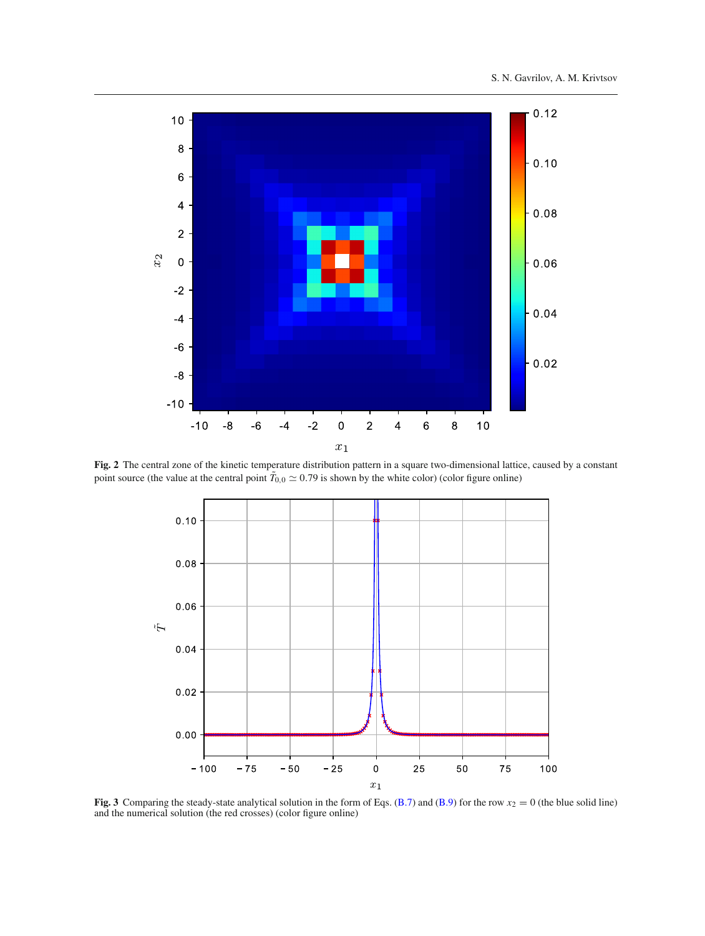

<span id="page-11-0"></span>**Fig. 2** The central zone of the kinetic temperature distribution pattern in a square two-dimensional lattice, caused by a constant point source (the value at the central point  $T_{0,0} \simeq 0.79$  is shown by the white color) (color figure online)



<span id="page-11-1"></span>**Fig. 3** Comparing the steady-state analytical solution in the form of Eqs. [\(B.7\)](#page-3-4) and [\(B.9\)](#page-3-3) for the row  $x_2 = 0$  (the blue solid line) and the numerical solution (the red crosses) (color figure online)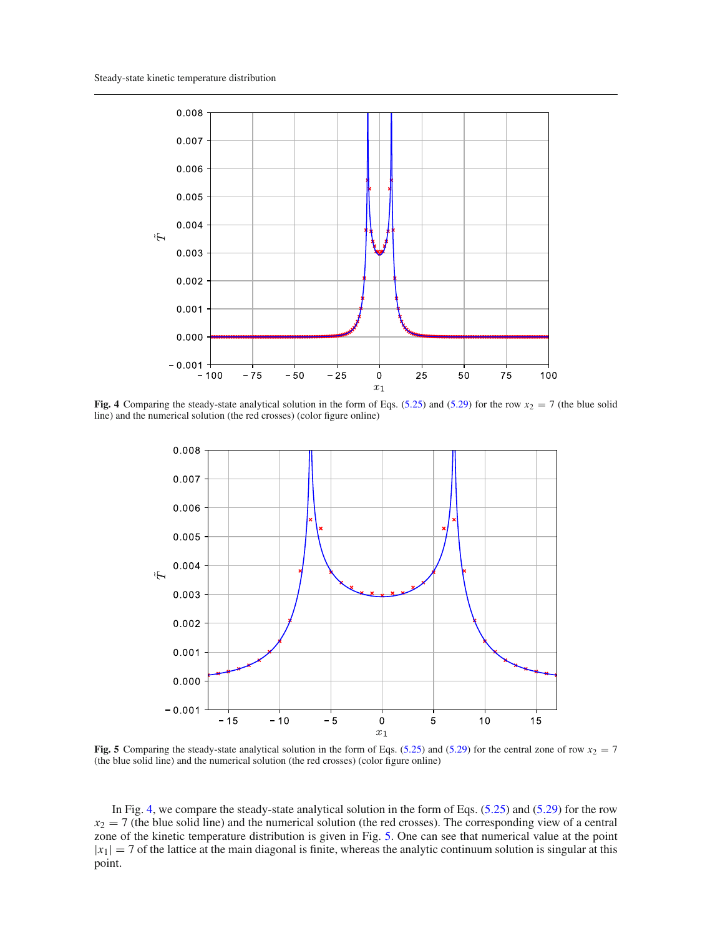

<span id="page-12-0"></span>**Fig. 4** Comparing the steady-state analytical solution in the form of Eqs. [\(5.25\)](#page-8-3) and [\(5.29\)](#page-9-1) for the row  $x_2 = 7$  (the blue solid line) and the numerical solution (the red crosses) (color figure online)



<span id="page-12-1"></span>**Fig. 5** Comparing the steady-state analytical solution in the form of Eqs. [\(5.25\)](#page-8-3) and [\(5.29\)](#page-9-1) for the central zone of row  $x_2 = 7$ (the blue solid line) and the numerical solution (the red crosses) (color figure online)

In Fig. [4,](#page-12-0) we compare the steady-state analytical solution in the form of Eqs. [\(5.25\)](#page-8-3) and [\(5.29\)](#page-9-1) for the row  $x_2 = 7$  (the blue solid line) and the numerical solution (the red crosses). The corresponding view of a central zone of the kinetic temperature distribution is given in Fig. [5.](#page-12-1) One can see that numerical value at the point  $|x_1| = 7$  of the lattice at the main diagonal is finite, whereas the analytic continuum solution is singular at this point.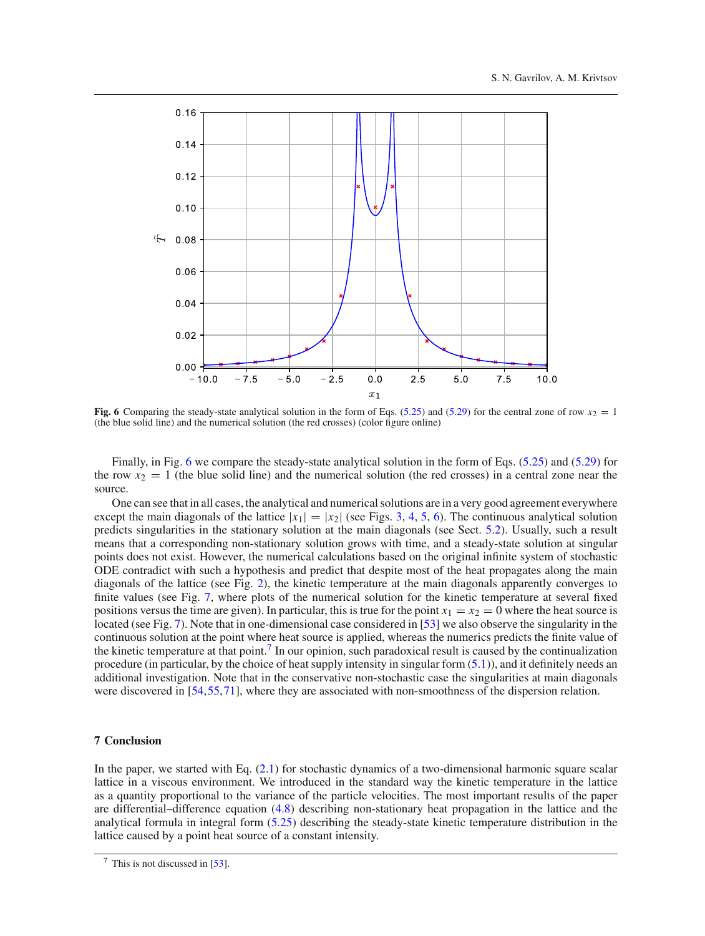

<span id="page-13-1"></span>**Fig. 6** Comparing the steady-state analytical solution in the form of Eqs. [\(5.25\)](#page-8-3) and [\(5.29\)](#page-9-1) for the central zone of row  $x_2 = 1$ (the blue solid line) and the numerical solution (the red crosses) (color figure online)

Finally, in Fig. [6](#page-13-1) we compare the steady-state analytical solution in the form of Eqs. [\(5.25\)](#page-8-3) and [\(5.29\)](#page-9-1) for the row  $x_2 = 1$  (the blue solid line) and the numerical solution (the red crosses) in a central zone near the source.

One can see that in all cases, the analytical and numerical solutions are in a very good agreement everywhere except the main diagonals of the lattice  $|x_1|=|x_2|$  (see Figs. [3,](#page-11-1) [4,](#page-12-0) [5,](#page-12-1) [6\)](#page-13-1). The continuous analytical solution predicts singularities in the stationary solution at the main diagonals (see Sect. [5.2\)](#page-9-2). Usually, such a result means that a corresponding non-stationary solution grows with time, and a steady-state solution at singular points does not exist. However, the numerical calculations based on the original infinite system of stochastic ODE contradict with such a hypothesis and predict that despite most of the heat propagates along the main diagonals of the lattice (see Fig. [2\)](#page-11-0), the kinetic temperature at the main diagonals apparently converges to finite values (see Fig. [7,](#page-14-0) where plots of the numerical solution for the kinetic temperature at several fixed positions versus the time are given). In particular, this is true for the point  $x_1 = x_2 = 0$  where the heat source is located (see Fig. [7\)](#page-14-0). Note that in one-dimensional case considered in [\[53](#page-19-13)] we also observe the singularity in the continuous solution at the point where heat source is applied, whereas the numerics predicts the finite value of the kinetic temperature at that point[.7](#page-13-2) In our opinion, such paradoxical result is caused by the continualization procedure (in particular, by the choice of heat supply intensity in singular form [\(5.1\)](#page-7-1)), and it definitely needs an additional investigation. Note that in the conservative non-stochastic case the singularities at main diagonals were discovered in [\[54](#page-19-14),[55,](#page-19-29)[71](#page-19-30)], where they are associated with non-smoothness of the dispersion relation.

# <span id="page-13-0"></span>**7 Conclusion**

In the paper, we started with Eq. [\(2.1\)](#page-2-3) for stochastic dynamics of a two-dimensional harmonic square scalar lattice in a viscous environment. We introduced in the standard way the kinetic temperature in the lattice as a quantity proportional to the variance of the particle velocities. The most important results of the paper are differential–difference equation [\(4.8\)](#page-6-5) describing non-stationary heat propagation in the lattice and the analytical formula in integral form [\(5.25\)](#page-8-3) describing the steady-state kinetic temperature distribution in the lattice caused by a point heat source of a constant intensity.

<span id="page-13-2"></span> $\frac{7}{1}$  This is not discussed in [\[53](#page-19-13)].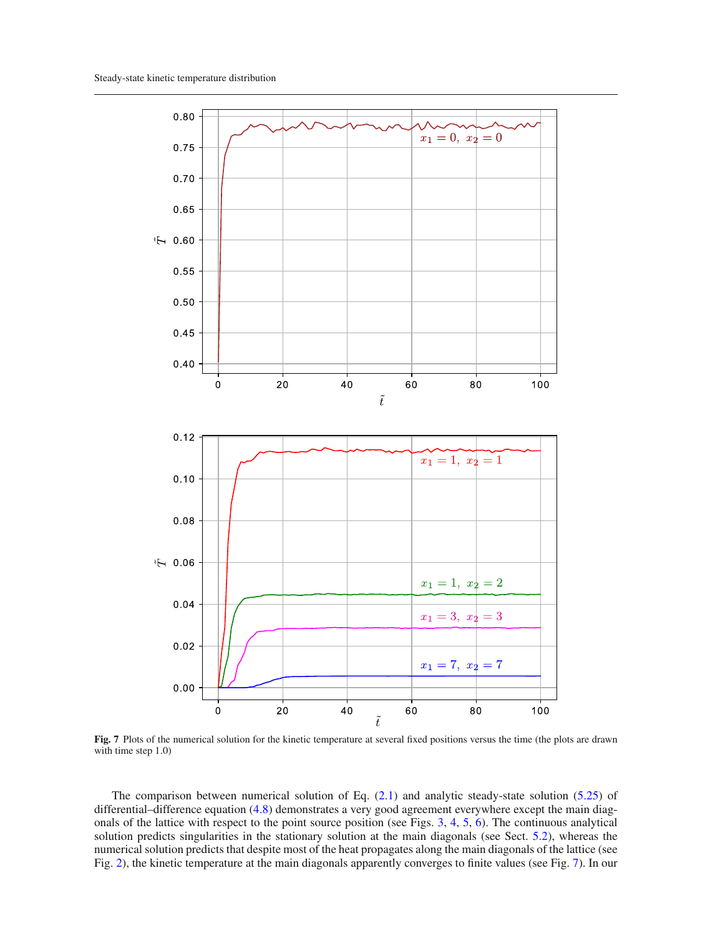

<span id="page-14-0"></span>**Fig. 7** Plots of the numerical solution for the kinetic temperature at several fixed positions versus the time (the plots are drawn with time step 1.0)

The comparison between numerical solution of Eq.  $(2.1)$  and analytic steady-state solution [\(5.25\)](#page-8-3) of differential–difference equation [\(4.8\)](#page-6-5) demonstrates a very good agreement everywhere except the main diagonals of the lattice with respect to the point source position (see Figs. [3,](#page-11-1) [4,](#page-12-0) [5,](#page-12-1) [6\)](#page-13-1). The continuous analytical solution predicts singularities in the stationary solution at the main diagonals (see Sect. [5.2\)](#page-9-2), whereas the numerical solution predicts that despite most of the heat propagates along the main diagonals of the lattice (see Fig. [2\)](#page-11-0), the kinetic temperature at the main diagonals apparently converges to finite values (see Fig. [7\)](#page-14-0). In our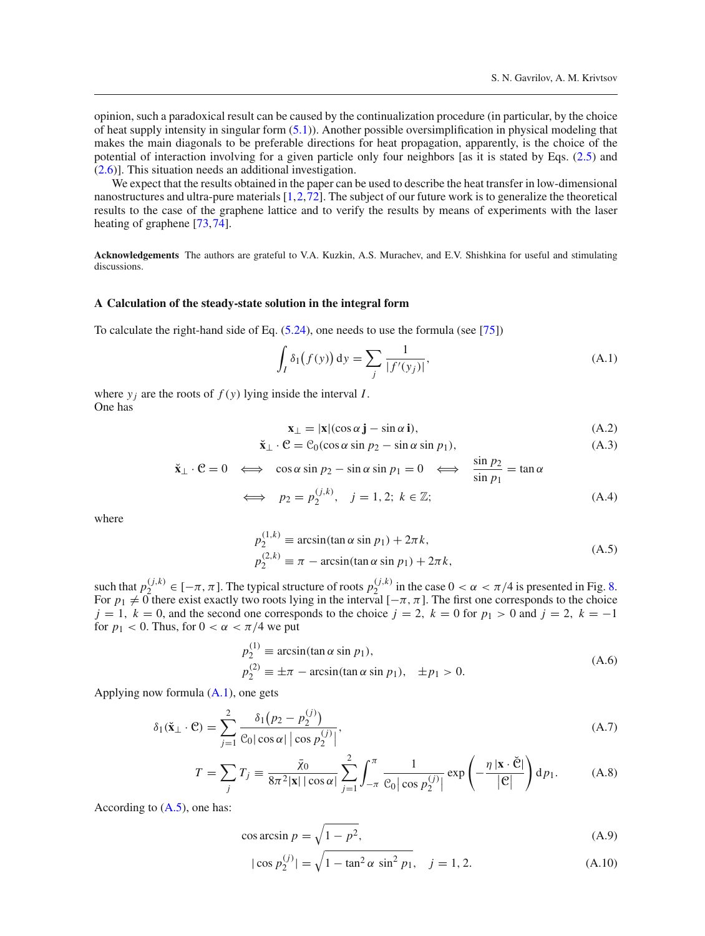opinion, such a paradoxical result can be caused by the continualization procedure (in particular, by the choice of heat supply intensity in singular form [\(5.1\)](#page-7-1)). Another possible oversimplification in physical modeling that makes the main diagonals to be preferable directions for heat propagation, apparently, is the choice of the potential of interaction involving for a given particle only four neighbors [as it is stated by Eqs. [\(2.5\)](#page-3-7) and [\(2.6\)](#page-3-7)]. This situation needs an additional investigation.

We expect that the results obtained in the paper can be used to describe the heat transfer in low-dimensional nanostructures and ultra-pure materials [\[1](#page-18-0)[,2](#page-18-11)[,72\]](#page-20-0). The subject of our future work is to generalize the theoretical results to the case of the graphene lattice and to verify the results by means of experiments with the laser heating of graphene [\[73](#page-20-1)[,74\]](#page-20-2).

**Acknowledgements** The authors are grateful to V.A. Kuzkin, A.S. Murachev, and E.V. Shishkina for useful and stimulating discussions.

# **A Calculation of the steady-state solution in the integral form**

To calculate the right-hand side of Eq. [\(5.24\)](#page-8-2), one needs to use the formula (see [\[75\]](#page-20-3))

<span id="page-15-0"></span>
$$
\int_{I} \delta_{1}(f(y)) dy = \sum_{j} \frac{1}{|f'(y_{j})|},
$$
\n(A.1)

where  $y_i$  are the roots of  $f(y)$  lying inside the interval *I*. One has

$$
\mathbf{x}_{\perp} = |\mathbf{x}|(\cos \alpha \, \mathbf{j} - \sin \alpha \, \mathbf{i}),\tag{A.2}
$$

$$
\check{\mathbf{x}}_{\perp} \cdot \mathcal{C} = \mathcal{C}_0(\cos \alpha \sin p_2 - \sin \alpha \sin p_1),\tag{A.3}
$$

$$
\check{\mathbf{x}}_{\perp} \cdot \mathbf{C} = 0 \iff \cos \alpha \sin p_2 - \sin \alpha \sin p_1 = 0 \iff \frac{\sin p_2}{\sin p_1} = \tan \alpha
$$
\n
$$
\iff p_2 = p_2^{(j,k)}, \quad j = 1, 2; \ k \in \mathbb{Z}; \tag{A.4}
$$

where

<span id="page-15-1"></span>
$$
p_2^{(1,k)} \equiv \arcsin(\tan \alpha \sin p_1) + 2\pi k,
$$
  
\n
$$
p_2^{(2,k)} \equiv \pi - \arcsin(\tan \alpha \sin p_1) + 2\pi k,
$$
\n(A.5)

such that  $p_2^{(j,k)} \in [-\pi, \pi]$ . The typical structure of roots  $p_2^{(j,k)}$  in the case  $0 < \alpha < \pi/4$  is presented in Fig. [8.](#page-16-1) For  $p_1 \neq 0$  there exist exactly two roots lying in the interval  $[-\pi, \pi]$ . The first one corresponds to the choice  $j = 1$ ,  $k = 0$ , and the second one corresponds to the choice  $j = 2$ ,  $k = 0$  for  $p_1 > 0$  and  $j = 2$ ,  $k = -1$ for  $p_1 < 0$ . Thus, for  $0 < \alpha < \pi/4$  we put

$$
p_2^{(1)} \equiv \arcsin(\tan \alpha \sin p_1),
$$
  
\n
$$
p_2^{(2)} \equiv \pm \pi - \arcsin(\tan \alpha \sin p_1), \quad \pm p_1 > 0.
$$
\n(A.6)

Applying now formula [\(A.1\)](#page-15-0), one gets

<span id="page-15-2"></span>
$$
\delta_1(\mathbf{\check{x}}_{\perp} \cdot \mathbf{C}) = \sum_{j=1}^2 \frac{\delta_1(p_2 - p_2^{(j)})}{\mathcal{C}_0 |\cos \alpha| |\cos p_2^{(j)}|},\tag{A.7}
$$

$$
T = \sum_{j} T_{j} \equiv \frac{\bar{\chi}_{0}}{8\pi^{2}|\mathbf{x}| |\cos \alpha|} \sum_{j=1}^{2} \int_{-\pi}^{\pi} \frac{1}{\mathcal{C}_{0} |\cos p_{2}^{(j)}|} \exp\left(-\frac{\eta |\mathbf{x} \cdot \check{\mathbf{C}}|}{|\mathbf{C}|}\right) d p_{1}.
$$
 (A.8)

According to  $(A.5)$ , one has:

$$
\cos \arcsin p = \sqrt{1 - p^2},\tag{A.9}
$$

$$
|\cos p_2^{(j)}| = \sqrt{1 - \tan^2 \alpha \sin^2 p_1}, \quad j = 1, 2. \tag{A.10}
$$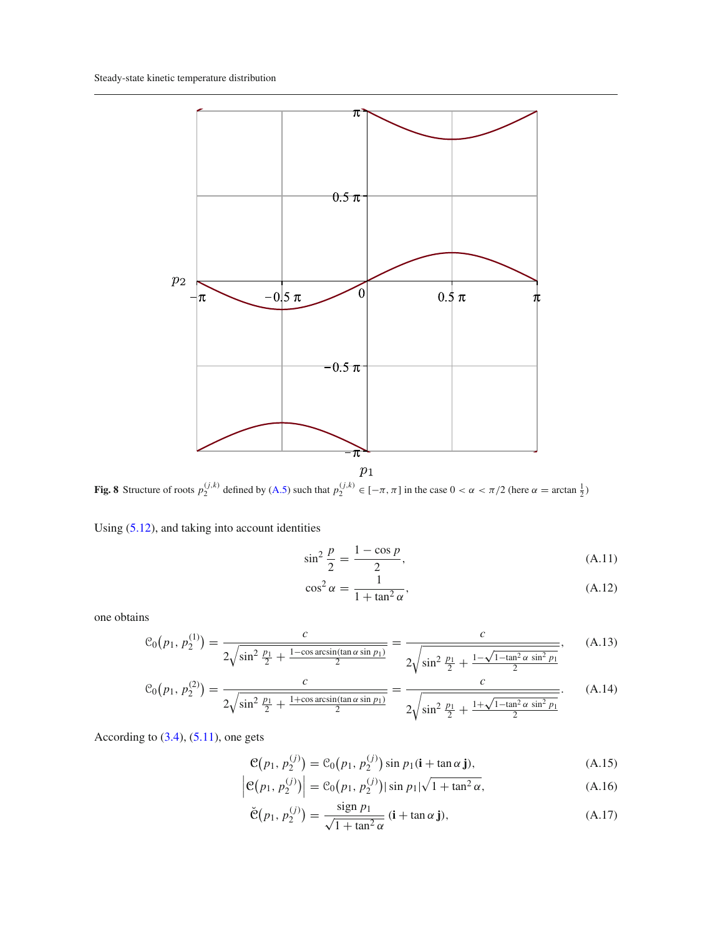

<span id="page-16-1"></span>**Fig. 8** Structure of roots  $p_2^{(j,k)}$  defined by [\(A.5\)](#page-15-1) such that  $p_2^{(j,k)} \in [-\pi, \pi]$  in the case  $0 < \alpha < \pi/2$  (here  $\alpha = \arctan \frac{1}{2}$ )

Using [\(5.12\)](#page-7-7), and taking into account identities

$$
\sin^2 \frac{p}{2} = \frac{1 - \cos p}{2},
$$
\n(A.11)

$$
\cos^2 \alpha = \frac{1}{1 + \tan^2 \alpha},\tag{A.12}
$$

one obtains

<span id="page-16-0"></span>
$$
\mathcal{C}_0(p_1, p_2^{(1)}) = \frac{c}{2\sqrt{\sin^2\frac{p_1}{2} + \frac{1-\cos\arcsin(\tan\alpha\sin p_1)}{2}}} = \frac{c}{2\sqrt{\sin^2\frac{p_1}{2} + \frac{1-\sqrt{1-\tan^2\alpha\sin^2 p_1}}{2}}},\qquad(A.13)
$$

$$
C_0(p_1, p_2^{(2)}) = \frac{c}{2\sqrt{\sin^2\frac{p_1}{2} + \frac{1+\cos\arcsin(\tan\alpha\sin p_1)}{2}}} = \frac{c}{2\sqrt{\sin^2\frac{p_1}{2} + \frac{1+\sqrt{1-\tan^2\alpha\sin^2 p_1}}{2}}}.
$$
(A.14)

According to  $(3.4)$ ,  $(5.11)$ , one gets

$$
\mathcal{C}(p_1, p_2^{(j)}) = \mathcal{C}_0(p_1, p_2^{(j)}) \sin p_1(\mathbf{i} + \tan \alpha \mathbf{j}), \tag{A.15}
$$

$$
\left| \mathcal{C}(p_1, p_2^{(j)}) \right| = \mathcal{C}_0(p_1, p_2^{(j)}) |\sin p_1| \sqrt{1 + \tan^2 \alpha}, \tag{A.16}
$$

$$
\check{\mathfrak{C}}(p_1, p_2^{(j)}) = \frac{\operatorname{sign} p_1}{\sqrt{1 + \tan^2 \alpha}} \left( \mathbf{i} + \tan \alpha \mathbf{j} \right),\tag{A.17}
$$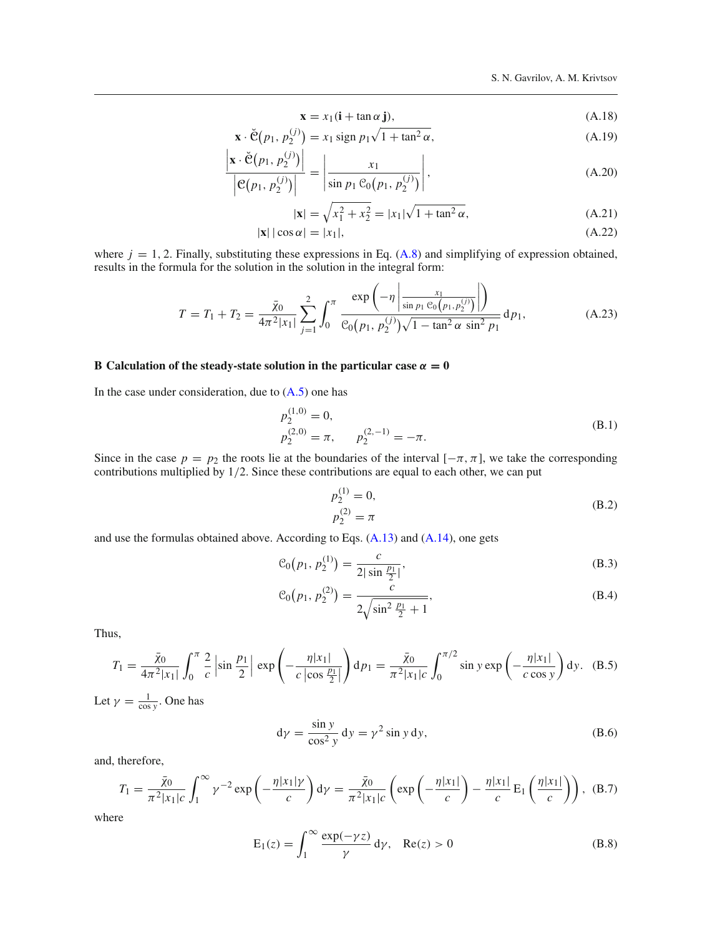$$
\mathbf{x} = x_1(\mathbf{i} + \tan \alpha \mathbf{j}),\tag{A.18}
$$

$$
\mathbf{x} \cdot \check{\mathbf{C}}(p_1, p_2^{(j)}) = x_1 \operatorname{sign} p_1 \sqrt{1 + \tan^2 \alpha},\tag{A.19}
$$

$$
\frac{\left|\mathbf{x} \cdot \check{\mathbf{C}}(p_1, p_2^{(j)})\right|}{\left|\mathbf{C}(p_1, p_2^{(j)})\right|} = \left|\frac{x_1}{\sin p_1 \mathbf{C}_0(p_1, p_2^{(j)})}\right|,\tag{A.20}
$$

$$
|\mathbf{x}| = \sqrt{x_1^2 + x_2^2} = |x_1|\sqrt{1 + \tan^2 \alpha},
$$
\n(A.21)

$$
|\mathbf{x}| |\cos \alpha| = |x_1|,\tag{A.22}
$$

where  $j = 1, 2$ . Finally, substituting these expressions in Eq.  $(A.8)$  and simplifying of expression obtained, results in the formula for the solution in the solution in the integral form:

$$
T = T_1 + T_2 = \frac{\bar{\chi}_0}{4\pi^2|x_1|} \sum_{j=1}^2 \int_0^\pi \frac{\exp\left(-\eta \left|\frac{x_1}{\sin p_1 \cos(p_1, p_2^{(j)})}\right|\right)}{\cos(p_1, p_2^{(j)})\sqrt{1 - \tan^2 \alpha \sin^2 p_1}} dp_1,
$$
(A.23)

# **B** Calculation of the steady-state solution in the particular case  $\alpha = 0$

In the case under consideration, due to  $(A.5)$  one has

$$
p_2^{(1,0)} = 0,
$$
  
\n
$$
p_2^{(2,0)} = \pi, \qquad p_2^{(2,-1)} = -\pi.
$$
\n(B.1)

Since in the case  $p = p_2$  the roots lie at the boundaries of the interval  $[-\pi, \pi]$ , we take the corresponding contributions multiplied by 1/2. Since these contributions are equal to each other, we can put

$$
p_2^{(1)} = 0,
$$
  
\n
$$
p_2^{(2)} = \pi
$$
 (B.2)

and use the formulas obtained above. According to Eqs. [\(A.13\)](#page-16-0) and [\(A.14\)](#page-16-0), one gets

$$
\mathcal{C}_0(p_1, p_2^{(1)}) = \frac{c}{2|\sin\frac{p_1}{2}|},\tag{B.3}
$$

$$
\mathcal{C}_0(p_1, p_2^{(2)}) = \frac{c}{2\sqrt{\sin^2\frac{p_1}{2} + 1}},\tag{B.4}
$$

Thus,

$$
T_1 = \frac{\bar{\chi}_0}{4\pi^2 |x_1|} \int_0^{\pi} \frac{2}{c} \left| \sin \frac{p_1}{2} \right| \exp \left( -\frac{\eta |x_1|}{c \left| \cos \frac{p_1}{2} \right|} \right) dp_1 = \frac{\bar{\chi}_0}{\pi^2 |x_1| c} \int_0^{\pi/2} \sin y \exp \left( -\frac{\eta |x_1|}{c \cos y} \right) dy. \quad (B.5)
$$

Let  $\gamma = \frac{1}{\cos y}$ . One has

$$
d\gamma = \frac{\sin y}{\cos^2 y} dy = \gamma^2 \sin y dy,
$$
 (B.6)

and, therefore,

$$
T_1 = \frac{\bar{\chi}_0}{\pi^2 |x_1|c} \int_1^\infty \gamma^{-2} \exp\left(-\frac{\eta |x_1|\gamma}{c}\right) d\gamma = \frac{\bar{\chi}_0}{\pi^2 |x_1|c} \left(\exp\left(-\frac{\eta |x_1|}{c}\right) - \frac{\eta |x_1|}{c} E_1\left(\frac{\eta |x_1|}{c}\right)\right), \quad (B.7)
$$

$$
E_1(z) = \int_1^\infty \frac{\exp(-\gamma z)}{\gamma} d\gamma, \quad \text{Re}(z) > 0 \tag{B.8}
$$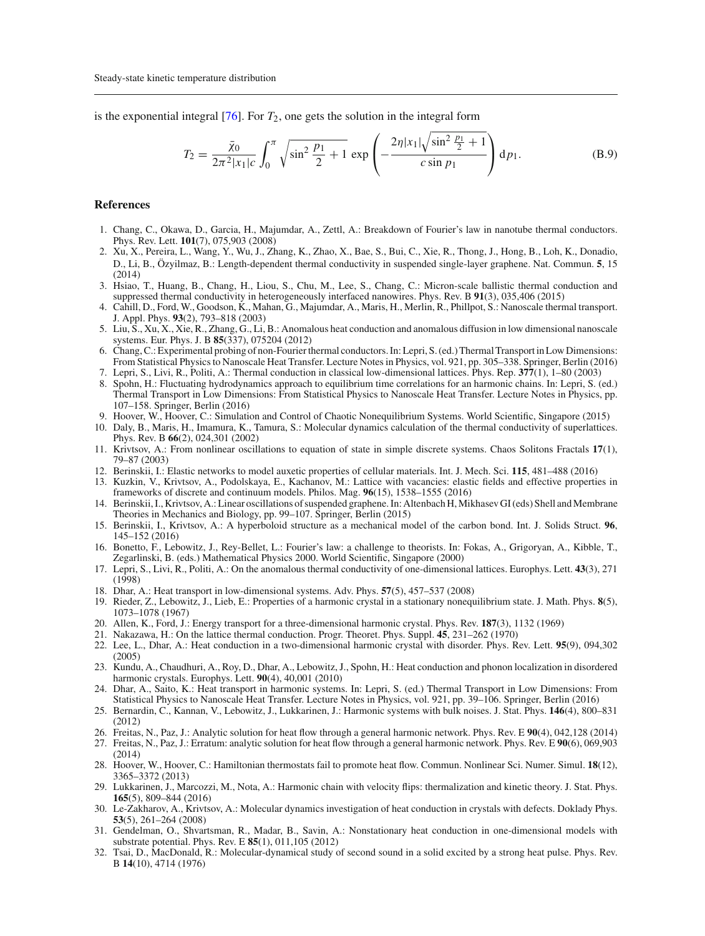is the exponential integral  $[76]$ . For  $T_2$ , one gets the solution in the integral form

$$
T_2 = \frac{\bar{\chi}_0}{2\pi^2 |x_1|c} \int_0^\pi \sqrt{\sin^2 \frac{p_1}{2} + 1} \exp\left(-\frac{2\eta |x_1|\sqrt{\sin^2 \frac{p_1}{2} + 1}}{c \sin p_1}\right) dp_1.
$$
 (B.9)

#### **References**

- <span id="page-18-0"></span>1. Chang, C., Okawa, D., Garcia, H., Majumdar, A., Zettl, A.: Breakdown of Fourier's law in nanotube thermal conductors. Phys. Rev. Lett. **101**(7), 075,903 (2008)
- <span id="page-18-11"></span>2. Xu, X., Pereira, L., Wang, Y., Wu, J., Zhang, K., Zhao, X., Bae, S., Bui, C., Xie, R., Thong, J., Hong, B., Loh, K., Donadio, D., Li, B., Özyilmaz, B.: Length-dependent thermal conductivity in suspended single-layer graphene. Nat. Commun. **5**, 15  $(2014)$
- 3. Hsiao, T., Huang, B., Chang, H., Liou, S., Chu, M., Lee, S., Chang, C.: Micron-scale ballistic thermal conduction and suppressed thermal conductivity in heterogeneously interfaced nanowires. Phys. Rev. B **91**(3), 035,406 (2015)
- 4. Cahill, D., Ford, W., Goodson, K., Mahan, G., Majumdar, A., Maris, H., Merlin, R., Phillpot, S.: Nanoscale thermal transport. J. Appl. Phys. **93**(2), 793–818 (2003)
- 5. Liu, S., Xu, X., Xie, R., Zhang, G., Li, B.: Anomalous heat conduction and anomalous diffusion in low dimensional nanoscale systems. Eur. Phys. J. B **85**(337), 075204 (2012)
- <span id="page-18-1"></span>6. Chang, C.: Experimental probing of non-Fourier thermal conductors. In: Lepri, S. (ed.) Thermal Transport in Low Dimensions: From Statistical Physics to Nanoscale Heat Transfer. Lecture Notes in Physics, vol. 921, pp. 305–338. Springer, Berlin (2016)
- <span id="page-18-3"></span><span id="page-18-2"></span>7. Lepri, S., Livi, R., Politi, A.: Thermal conduction in classical low-dimensional lattices. Phys. Rep. **377**(1), 1–80 (2003) 8. Spohn, H.: Fluctuating hydrodynamics approach to equilibrium time correlations for an harmonic chains. In: Lepri, S. (ed.) Thermal Transport in Low Dimensions: From Statistical Physics to Nanoscale Heat Transfer. Lecture Notes in Physics, pp. 107–158. Springer, Berlin (2016)
- <span id="page-18-4"></span>9. Hoover, W., Hoover, C.: Simulation and Control of Chaotic Nonequilibrium Systems. World Scientific, Singapore (2015)
- <span id="page-18-8"></span>10. Daly, B., Maris, H., Imamura, K., Tamura, S.: Molecular dynamics calculation of the thermal conductivity of superlattices. Phys. Rev. B **66**(2), 024,301 (2002)
- 11. Krivtsov, A.: From nonlinear oscillations to equation of state in simple discrete systems. Chaos Solitons Fractals **17**(1), 79–87 (2003)
- 12. Berinskii, I.: Elastic networks to model auxetic properties of cellular materials. Int. J. Mech. Sci. **115**, 481–488 (2016)
- 13. Kuzkin, V., Krivtsov, A., Podolskaya, E., Kachanov, M.: Lattice with vacancies: elastic fields and effective properties in frameworks of discrete and continuum models. Philos. Mag. **96**(15), 1538–1555 (2016)
- 14. Berinskii, I., Krivtsov, A.: Linear oscillations of suspended graphene. In: Altenbach H,Mikhasev GI (eds) Shell andMembrane Theories in Mechanics and Biology, pp. 99–107. Springer, Berlin (2015)
- <span id="page-18-5"></span>15. Berinskii, I., Krivtsov, A.: A hyperboloid structure as a mechanical model of the carbon bond. Int. J. Solids Struct. **96**, 145–152 (2016)
- <span id="page-18-6"></span>16. Bonetto, F., Lebowitz, J., Rey-Bellet, L.: Fourier's law: a challenge to theorists. In: Fokas, A., Grigoryan, A., Kibble, T., Zegarlinski, B. (eds.) Mathematical Physics 2000. World Scientific, Singapore (2000)
- 17. Lepri, S., Livi, R., Politi, A.: On the anomalous thermal conductivity of one-dimensional lattices. Europhys. Lett. **43**(3), 271 (1998)
- 18. Dhar, A.: Heat transport in low-dimensional systems. Adv. Phys. **57**(5), 457–537 (2008)
- 19. Rieder, Z., Lebowitz, J., Lieb, E.: Properties of a harmonic crystal in a stationary nonequilibrium state. J. Math. Phys. **8**(5), 1073–1078 (1967)
- 20. Allen, K., Ford, J.: Energy transport for a three-dimensional harmonic crystal. Phys. Rev. **187**(3), 1132 (1969)
- 21. Nakazawa, H.: On the lattice thermal conduction. Progr. Theoret. Phys. Suppl. **45**, 231–262 (1970)
- 22. Lee, L., Dhar, A.: Heat conduction in a two-dimensional harmonic crystal with disorder. Phys. Rev. Lett. **95**(9), 094,302 (2005)
- 23. Kundu, A., Chaudhuri, A., Roy, D., Dhar, A., Lebowitz, J., Spohn, H.: Heat conduction and phonon localization in disordered harmonic crystals. Europhys. Lett. **90**(4), 40,001 (2010)
- 24. Dhar, A., Saito, K.: Heat transport in harmonic systems. In: Lepri, S. (ed.) Thermal Transport in Low Dimensions: From Statistical Physics to Nanoscale Heat Transfer. Lecture Notes in Physics, vol. 921, pp. 39–106. Springer, Berlin (2016)
- 25. Bernardin, C., Kannan, V., Lebowitz, J., Lukkarinen, J.: Harmonic systems with bulk noises. J. Stat. Phys. **146**(4), 800–831 (2012)
- 26. Freitas, N., Paz, J.: Analytic solution for heat flow through a general harmonic network. Phys. Rev. E **90**(4), 042,128 (2014)
- 27. Freitas, N., Paz, J.: Erratum: analytic solution for heat flow through a general harmonic network. Phys. Rev. E **90**(6), 069,903 (2014)
- 28. Hoover, W., Hoover, C.: Hamiltonian thermostats fail to promote heat flow. Commun. Nonlinear Sci. Numer. Simul. **18**(12), 3365–3372 (2013)
- <span id="page-18-7"></span>29. Lukkarinen, J., Marcozzi, M., Nota, A.: Harmonic chain with velocity flips: thermalization and kinetic theory. J. Stat. Phys. **165**(5), 809–844 (2016)
- <span id="page-18-9"></span>30. Le-Zakharov, A., Krivtsov, A.: Molecular dynamics investigation of heat conduction in crystals with defects. Doklady Phys. **53**(5), 261–264 (2008)
- <span id="page-18-10"></span>31. Gendelman, O., Shvartsman, R., Madar, B., Savin, A.: Nonstationary heat conduction in one-dimensional models with substrate potential. Phys. Rev. E **85**(1), 011,105 (2012)
- 32. Tsai, D., MacDonald, R.: Molecular-dynamical study of second sound in a solid excited by a strong heat pulse. Phys. Rev. B **14**(10), 4714 (1976)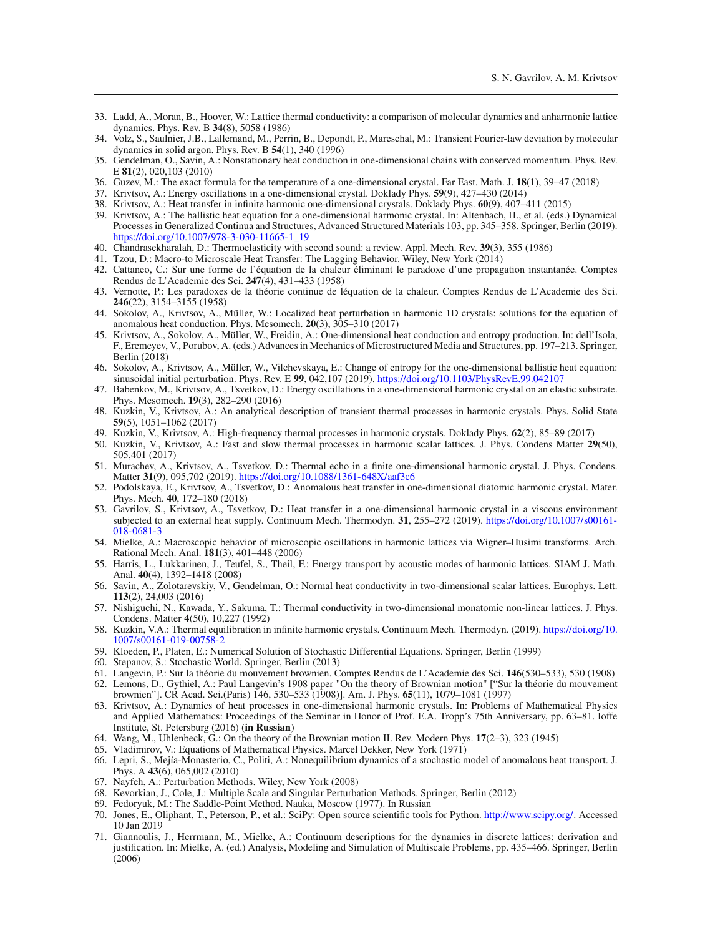- 33. Ladd, A., Moran, B., Hoover, W.: Lattice thermal conductivity: a comparison of molecular dynamics and anharmonic lattice dynamics. Phys. Rev. B **34**(8), 5058 (1986)
- 34. Volz, S., Saulnier, J.B., Lallemand, M., Perrin, B., Depondt, P., Mareschal, M.: Transient Fourier-law deviation by molecular dynamics in solid argon. Phys. Rev. B **54**(1), 340 (1996)
- 35. Gendelman, O., Savin, A.: Nonstationary heat conduction in one-dimensional chains with conserved momentum. Phys. Rev. E **81**(2), 020,103 (2010)
- <span id="page-19-0"></span>36. Guzev, M.: The exact formula for the temperature of a one-dimensional crystal. Far East. Math. J. **18**(1), 39–47 (2018)
- <span id="page-19-1"></span>37. Krivtsov, A.: Energy oscillations in a one-dimensional crystal. Doklady Phys. **59**(9), 427–430 (2014)
- <span id="page-19-7"></span>38. Krivtsov, A.: Heat transfer in infinite harmonic one-dimensional crystals. Doklady Phys. **60**(9), 407–411 (2015)
- <span id="page-19-2"></span>39. Krivtsov, A.: The ballistic heat equation for a one-dimensional harmonic crystal. In: Altenbach, H., et al. (eds.) Dynamical Processes in Generalized Continua and Structures, Advanced Structured Materials 103, pp. 345–358. Springer, Berlin (2019). [https://doi.org/10.1007/978-3-030-11665-1\\_19](https://doi.org/10.1007/978-3-030-11665-1_19)
- <span id="page-19-3"></span>40. Chandrasekharalah, D.: Thermoelasticity with second sound: a review. Appl. Mech. Rev. **39**(3), 355 (1986)
- 41. Tzou, D.: Macro-to Microscale Heat Transfer: The Lagging Behavior. Wiley, New York (2014)
- 42. Cattaneo, C.: Sur une forme de l'équation de la chaleur éliminant le paradoxe d'une propagation instantanée. Comptes Rendus de L'Academie des Sci. **247**(4), 431–433 (1958)
- <span id="page-19-4"></span>43. Vernotte, P.: Les paradoxes de la théorie continue de léquation de la chaleur. Comptes Rendus de L'Academie des Sci. **246**(22), 3154–3155 (1958)
- <span id="page-19-5"></span>44. Sokolov, A., Krivtsov, A., Müller, W.: Localized heat perturbation in harmonic 1D crystals: solutions for the equation of anomalous heat conduction. Phys. Mesomech. **20**(3), 305–310 (2017)
- 45. Krivtsov, A., Sokolov, A., Müller, W., Freidin, A.: One-dimensional heat conduction and entropy production. In: dell'Isola, F., Eremeyev, V., Porubov, A. (eds.) Advances in Mechanics of Microstructured Media and Structures, pp. 197–213. Springer, Berlin (2018)
- <span id="page-19-6"></span>46. Sokolov, A., Krivtsov, A., Müller, W., Vilchevskaya, E.: Change of entropy for the one-dimensional ballistic heat equation: sinusoidal initial perturbation. Phys. Rev. E **99**, 042,107 (2019). <https://doi.org/10.1103/PhysRevE.99.042107>
- <span id="page-19-8"></span>47. Babenkov, M., Krivtsov, A., Tsvetkov, D.: Energy oscillations in a one-dimensional harmonic crystal on an elastic substrate. Phys. Mesomech. **19**(3), 282–290 (2016)
- <span id="page-19-11"></span>48. Kuzkin, V., Krivtsov, A.: An analytical description of transient thermal processes in harmonic crystals. Phys. Solid State **59**(5), 1051–1062 (2017)
- 49. Kuzkin, V., Krivtsov, A.: High-frequency thermal processes in harmonic crystals. Doklady Phys. **62**(2), 85–89 (2017)
- <span id="page-19-12"></span>50. Kuzkin, V., Krivtsov, A.: Fast and slow thermal processes in harmonic scalar lattices. J. Phys. Condens Matter **29**(50), 505,401 (2017)
- <span id="page-19-9"></span>51. Murachev, A., Krivtsov, A., Tsvetkov, D.: Thermal echo in a finite one-dimensional harmonic crystal. J. Phys. Condens. Matter **31**(9), 095,702 (2019). <https://doi.org/10.1088/1361-648X/aaf3c6>
- <span id="page-19-10"></span>52. Podolskaya, E., Krivtsov, A., Tsvetkov, D.: Anomalous heat transfer in one-dimensional diatomic harmonic crystal. Mater. Phys. Mech. **40**, 172–180 (2018)
- <span id="page-19-13"></span>53. Gavrilov, S., Krivtsov, A., Tsvetkov, D.: Heat transfer in a one-dimensional harmonic crystal in a viscous environment subjected to an external heat supply. Continuum Mech. Thermodyn. **31**, 255–272 (2019). [https://doi.org/10.1007/s00161-](https://doi.org/10.1007/s00161-018-0681-3) [018-0681-3](https://doi.org/10.1007/s00161-018-0681-3)
- <span id="page-19-14"></span>54. Mielke, A.: Macroscopic behavior of microscopic oscillations in harmonic lattices via Wigner–Husimi transforms. Arch. Rational Mech. Anal. **181**(3), 401–448 (2006)
- <span id="page-19-29"></span>55. Harris, L., Lukkarinen, J., Teufel, S., Theil, F.: Energy transport by acoustic modes of harmonic lattices. SIAM J. Math. Anal. **40**(4), 1392–1418 (2008)
- 56. Savin, A., Zolotarevskiy, V., Gendelman, O.: Normal heat conductivity in two-dimensional scalar lattices. Europhys. Lett. **113**(2), 24,003 (2016)
- <span id="page-19-15"></span>57. Nishiguchi, N., Kawada, Y., Sakuma, T.: Thermal conductivity in two-dimensional monatomic non-linear lattices. J. Phys. Condens. Matter **4**(50), 10,227 (1992)
- <span id="page-19-16"></span>58. Kuzkin, V.A.: Thermal equilibration in infinite harmonic crystals. Continuum Mech. Thermodyn. (2019). [https://doi.org/10.](https://doi.org/10.1007/s00161-019-00758-2) [1007/s00161-019-00758-2](https://doi.org/10.1007/s00161-019-00758-2)
- <span id="page-19-17"></span>59. Kloeden, P., Platen, E.: Numerical Solution of Stochastic Differential Equations. Springer, Berlin (1999)
- <span id="page-19-18"></span>60. Stepanov, S.: Stochastic World. Springer, Berlin (2013)
- <span id="page-19-19"></span>61. Langevin, P.: Sur la théorie du mouvement brownien. Comptes Rendus de L'Academie des Sci. **146**(530–533), 530 (1908)
- <span id="page-19-20"></span>62. Lemons, D., Gythiel, A.: Paul Langevin's 1908 paper "On the theory of Brownian motion" ["Sur la théorie du mouvement brownien"]. CR Acad. Sci.(Paris) 146, 530–533 (1908)]. Am. J. Phys. **65**(11), 1079–1081 (1997)
- <span id="page-19-21"></span>63. Krivtsov, A.: Dynamics of heat processes in one-dimensional harmonic crystals. In: Problems of Mathematical Physics and Applied Mathematics: Proceedings of the Seminar in Honor of Prof. E.A. Tropp's 75th Anniversary, pp. 63–81. Ioffe Institute, St. Petersburg (2016) (**in Russian**)
- <span id="page-19-22"></span>64. Wang, M., Uhlenbeck, G.: On the theory of the Brownian motion II. Rev. Modern Phys. **17**(2–3), 323 (1945)
- <span id="page-19-23"></span>65. Vladimirov, V.: Equations of Mathematical Physics. Marcel Dekker, New York (1971)
- <span id="page-19-24"></span>66. Lepri, S., Mejía-Monasterio, C., Politi, A.: Nonequilibrium dynamics of a stochastic model of anomalous heat transport. J. Phys. A **43**(6), 065,002 (2010)
- <span id="page-19-25"></span>67. Nayfeh, A.: Perturbation Methods. Wiley, New York (2008)
- <span id="page-19-26"></span>68. Kevorkian, J., Cole, J.: Multiple Scale and Singular Perturbation Methods. Springer, Berlin (2012)
- <span id="page-19-27"></span>69. Fedoryuk, M.: The Saddle-Point Method. Nauka, Moscow (1977). In Russian
- <span id="page-19-28"></span>70. Jones, E., Oliphant, T., Peterson, P., et al.: SciPy: Open source scientific tools for Python. [http://www.scipy.org/.](http://www.scipy.org/) Accessed 10 Jan 2019
- <span id="page-19-30"></span>71. Giannoulis, J., Herrmann, M., Mielke, A.: Continuum descriptions for the dynamics in discrete lattices: derivation and justification. In: Mielke, A. (ed.) Analysis, Modeling and Simulation of Multiscale Problems, pp. 435–466. Springer, Berlin  $(2006)$